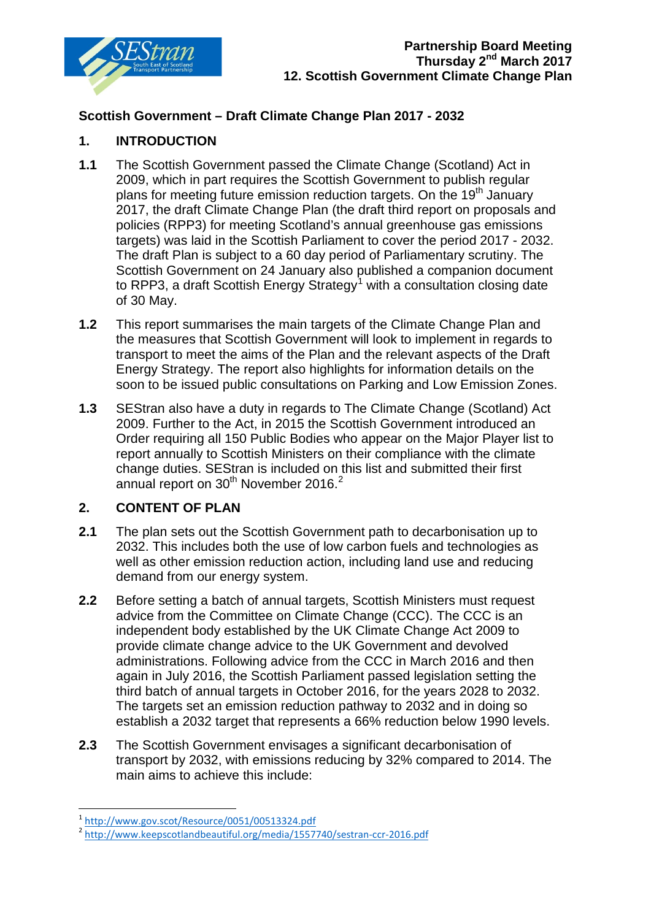

## **Scottish Government – Draft Climate Change Plan 2017 - 2032**

### **1. INTRODUCTION**

- **1.1** The Scottish Government passed the Climate Change (Scotland) Act in 2009, which in part requires the Scottish Government to publish regular plans for meeting future emission reduction targets. On the  $19<sup>th</sup>$  January 2017, the draft Climate Change Plan (the draft third report on proposals and policies (RPP3) for meeting Scotland's annual greenhouse gas emissions targets) was laid in the Scottish Parliament to cover the period 2017 - 2032. The draft Plan is subject to a 60 day period of Parliamentary scrutiny. The Scottish Government on 24 January also published a companion document to RPP3, a draft Scottish Energy Strategy<sup>[1](#page-0-0)</sup> with a consultation closing date of 30 May.
- **1.2** This report summarises the main targets of the Climate Change Plan and the measures that Scottish Government will look to implement in regards to transport to meet the aims of the Plan and the relevant aspects of the Draft Energy Strategy. The report also highlights for information details on the soon to be issued public consultations on Parking and Low Emission Zones.
- **1.3** SEStran also have a duty in regards to The Climate Change (Scotland) Act 2009. Further to the Act, in 2015 the Scottish Government introduced an Order requiring all 150 Public Bodies who appear on the Major Player list to report annually to Scottish Ministers on their compliance with the climate change duties. SEStran is included on this list and submitted their first annual report on 30<sup>th</sup> November [2](#page-0-1)016.<sup>2</sup>

### **2. CONTENT OF PLAN**

- **2.1** The plan sets out the Scottish Government path to decarbonisation up to 2032. This includes both the use of low carbon fuels and technologies as well as other emission reduction action, including land use and reducing demand from our energy system.
- **2.2** Before setting a batch of annual targets, Scottish Ministers must request advice from the Committee on Climate Change (CCC). The CCC is an independent body established by the UK Climate Change Act 2009 to provide climate change advice to the UK Government and devolved administrations. Following advice from the CCC in March 2016 and then again in July 2016, the Scottish Parliament passed legislation setting the third batch of annual targets in October 2016, for the years 2028 to 2032. The targets set an emission reduction pathway to 2032 and in doing so establish a 2032 target that represents a 66% reduction below 1990 levels.
- **2.3** The Scottish Government envisages a significant decarbonisation of transport by 2032, with emissions reducing by 32% compared to 2014. The main aims to achieve this include:

 <sup>1</sup> <http://www.gov.scot/Resource/0051/00513324.pdf>

<span id="page-0-1"></span><span id="page-0-0"></span><sup>&</sup>lt;sup>2</sup> <http://www.keepscotlandbeautiful.org/media/1557740/sestran-ccr-2016.pdf>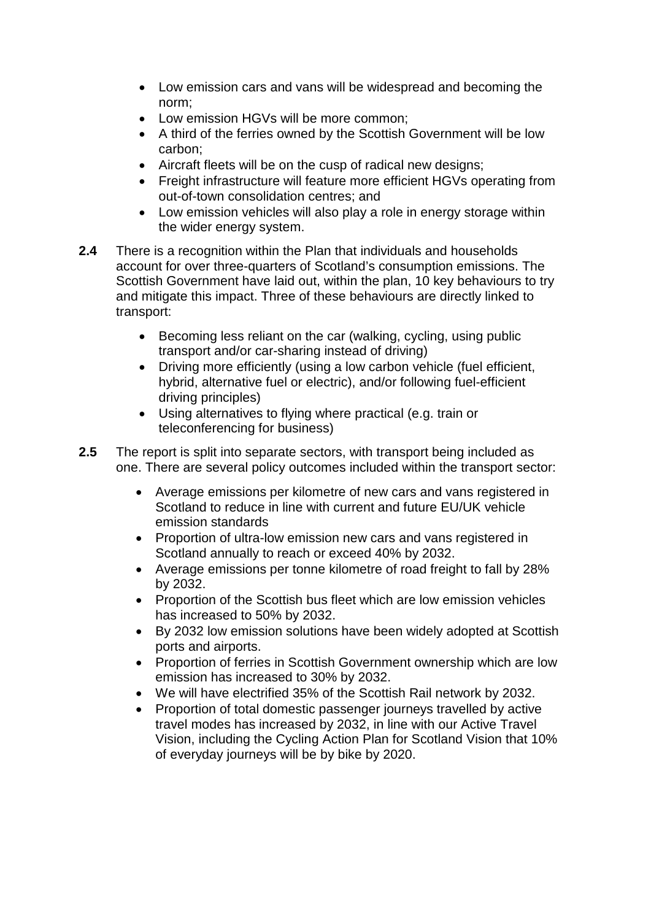- Low emission cars and vans will be widespread and becoming the norm;
- Low emission HGVs will be more common;
- A third of the ferries owned by the Scottish Government will be low carbon;
- Aircraft fleets will be on the cusp of radical new designs;
- Freight infrastructure will feature more efficient HGVs operating from out-of-town consolidation centres; and
- Low emission vehicles will also play a role in energy storage within the wider energy system.
- **2.4** There is a recognition within the Plan that individuals and households account for over three-quarters of Scotland's consumption emissions. The Scottish Government have laid out, within the plan, 10 key behaviours to try and mitigate this impact. Three of these behaviours are directly linked to transport:
	- Becoming less reliant on the car (walking, cycling, using public transport and/or car-sharing instead of driving)
	- Driving more efficiently (using a low carbon vehicle (fuel efficient, hybrid, alternative fuel or electric), and/or following fuel-efficient driving principles)
	- Using alternatives to flying where practical (e.g. train or teleconferencing for business)
- **2.5** The report is split into separate sectors, with transport being included as one. There are several policy outcomes included within the transport sector:
	- Average emissions per kilometre of new cars and vans registered in Scotland to reduce in line with current and future EU/UK vehicle emission standards
	- Proportion of ultra-low emission new cars and vans registered in Scotland annually to reach or exceed 40% by 2032.
	- Average emissions per tonne kilometre of road freight to fall by 28% by 2032.
	- Proportion of the Scottish bus fleet which are low emission vehicles has increased to 50% by 2032.
	- By 2032 low emission solutions have been widely adopted at Scottish ports and airports.
	- Proportion of ferries in Scottish Government ownership which are low emission has increased to 30% by 2032.
	- We will have electrified 35% of the Scottish Rail network by 2032.
	- Proportion of total domestic passenger journeys travelled by active travel modes has increased by 2032, in line with our Active Travel Vision, including the Cycling Action Plan for Scotland Vision that 10% of everyday journeys will be by bike by 2020.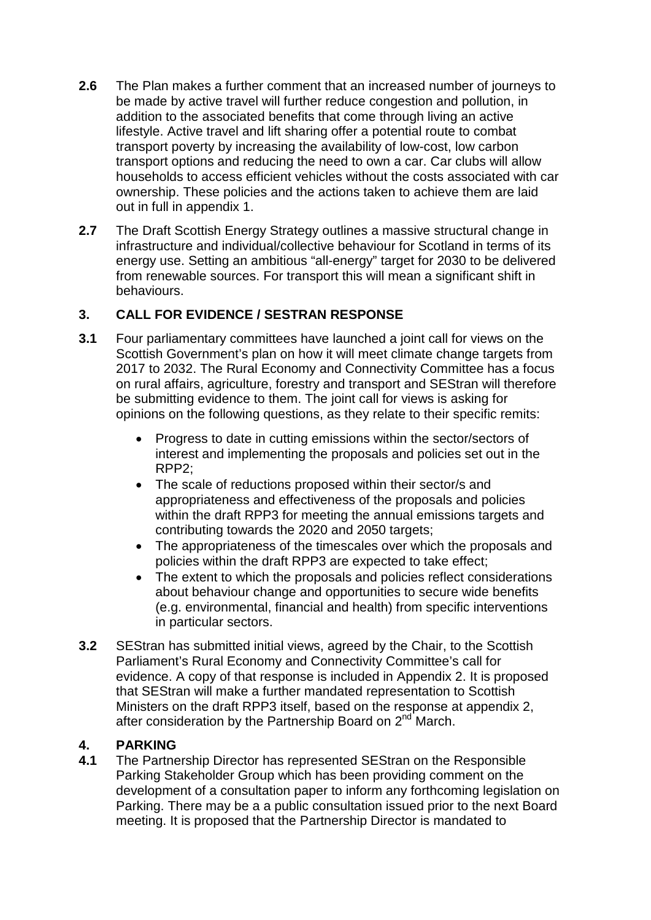- **2.6** The Plan makes a further comment that an increased number of journeys to be made by active travel will further reduce congestion and pollution, in addition to the associated benefits that come through living an active lifestyle. Active travel and lift sharing offer a potential route to combat transport poverty by increasing the availability of low-cost, low carbon transport options and reducing the need to own a car. Car clubs will allow households to access efficient vehicles without the costs associated with car ownership. These policies and the actions taken to achieve them are laid out in full in appendix 1.
- **2.7** The Draft Scottish Energy Strategy outlines a massive structural change in infrastructure and individual/collective behaviour for Scotland in terms of its energy use. Setting an ambitious "all-energy" target for 2030 to be delivered from renewable sources. For transport this will mean a significant shift in behaviours.

## **3. CALL FOR EVIDENCE / SESTRAN RESPONSE**

- **3.1** Four parliamentary committees have launched a joint call for views on the Scottish Government's plan on how it will meet climate change targets from 2017 to 2032. The Rural Economy and Connectivity Committee has a focus on rural affairs, agriculture, forestry and transport and SEStran will therefore be submitting evidence to them. The joint call for views is asking for opinions on the following questions, as they relate to their specific remits:
	- Progress to date in cutting emissions within the sector/sectors of interest and implementing the proposals and policies set out in the RPP2;
	- The scale of reductions proposed within their sector/s and appropriateness and effectiveness of the proposals and policies within the draft RPP3 for meeting the annual emissions targets and contributing towards the 2020 and 2050 targets;
	- The appropriateness of the timescales over which the proposals and policies within the draft RPP3 are expected to take effect;
	- The extent to which the proposals and policies reflect considerations about behaviour change and opportunities to secure wide benefits (e.g. environmental, financial and health) from specific interventions in particular sectors.
- **3.2** SEStran has submitted initial views, agreed by the Chair, to the Scottish Parliament's Rural Economy and Connectivity Committee's call for evidence. A copy of that response is included in Appendix 2. It is proposed that SEStran will make a further mandated representation to Scottish Ministers on the draft RPP3 itself, based on the response at appendix 2, after consideration by the Partnership Board on 2<sup>nd</sup> March.

## **4. PARKING**

**4.1** The Partnership Director has represented SEStran on the Responsible Parking Stakeholder Group which has been providing comment on the development of a consultation paper to inform any forthcoming legislation on Parking. There may be a a public consultation issued prior to the next Board meeting. It is proposed that the Partnership Director is mandated to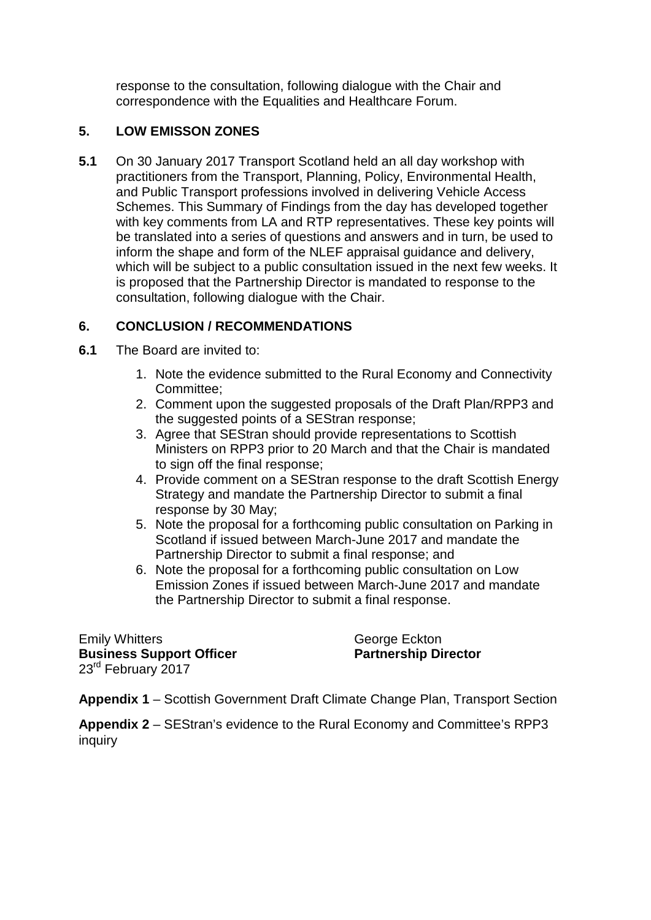response to the consultation, following dialogue with the Chair and correspondence with the Equalities and Healthcare Forum.

## **5. LOW EMISSON ZONES**

**5.1** On 30 January 2017 Transport Scotland held an all day workshop with practitioners from the Transport, Planning, Policy, Environmental Health, and Public Transport professions involved in delivering Vehicle Access Schemes. This Summary of Findings from the day has developed together with key comments from LA and RTP representatives. These key points will be translated into a series of questions and answers and in turn, be used to inform the shape and form of the NLEF appraisal guidance and delivery, which will be subject to a public consultation issued in the next few weeks. It is proposed that the Partnership Director is mandated to response to the consultation, following dialogue with the Chair.

## **6. CONCLUSION / RECOMMENDATIONS**

- **6.1** The Board are invited to:
	- 1. Note the evidence submitted to the Rural Economy and Connectivity Committee;
	- 2. Comment upon the suggested proposals of the Draft Plan/RPP3 and the suggested points of a SEStran response;
	- 3. Agree that SEStran should provide representations to Scottish Ministers on RPP3 prior to 20 March and that the Chair is mandated to sign off the final response:
	- 4. Provide comment on a SEStran response to the draft Scottish Energy Strategy and mandate the Partnership Director to submit a final response by 30 May;
	- 5. Note the proposal for a forthcoming public consultation on Parking in Scotland if issued between March-June 2017 and mandate the Partnership Director to submit a final response; and
	- 6. Note the proposal for a forthcoming public consultation on Low Emission Zones if issued between March-June 2017 and mandate the Partnership Director to submit a final response.

Emily Whitters<br> **Business Support Officer**<br> **Business Support Officer**<br> **Community Contract Partnership Director Business Support Officer** 23<sup>rd</sup> February 2017

**Appendix 1** – Scottish Government Draft Climate Change Plan, Transport Section

**Appendix 2** – SEStran's evidence to the Rural Economy and Committee's RPP3 inquiry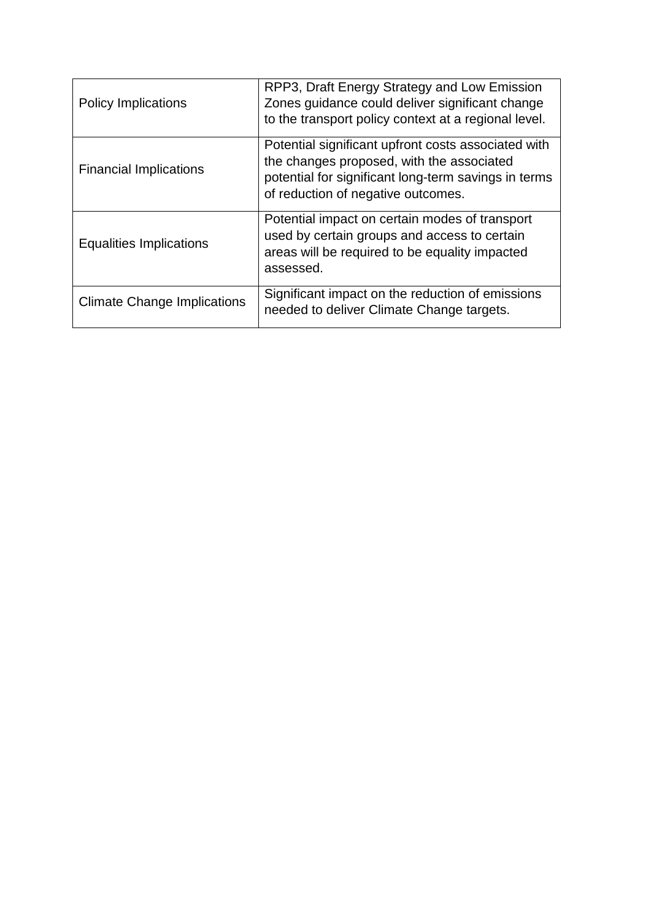| <b>Policy Implications</b>         | RPP3, Draft Energy Strategy and Low Emission<br>Zones quidance could deliver significant change<br>to the transport policy context at a regional level.                                        |
|------------------------------------|------------------------------------------------------------------------------------------------------------------------------------------------------------------------------------------------|
| <b>Financial Implications</b>      | Potential significant upfront costs associated with<br>the changes proposed, with the associated<br>potential for significant long-term savings in terms<br>of reduction of negative outcomes. |
| <b>Equalities Implications</b>     | Potential impact on certain modes of transport<br>used by certain groups and access to certain<br>areas will be required to be equality impacted<br>assessed.                                  |
| <b>Climate Change Implications</b> | Significant impact on the reduction of emissions<br>needed to deliver Climate Change targets.                                                                                                  |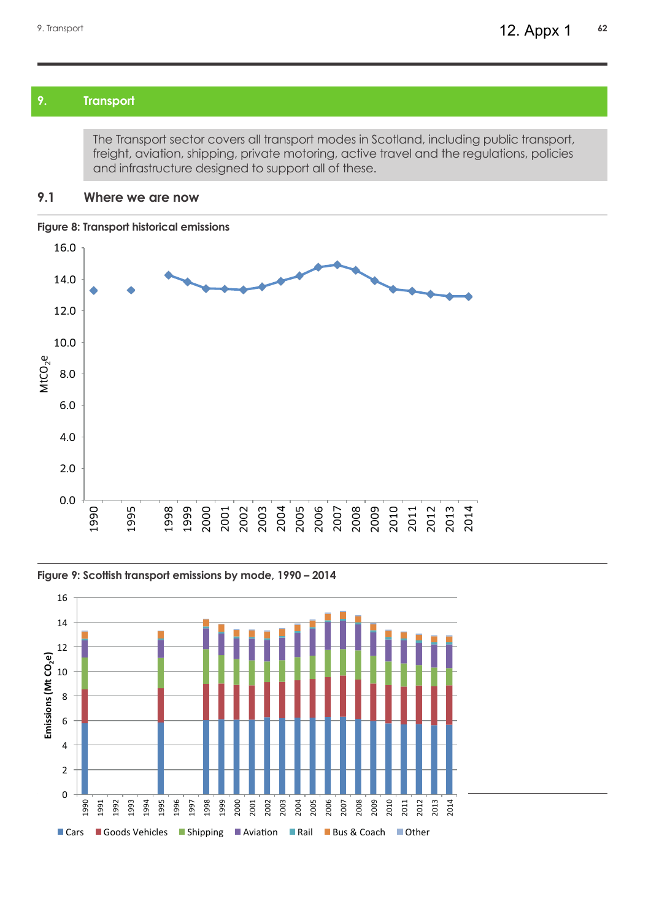### **9. Transport**

The Transport sector covers all transport modes in Scotland, including public transport, freight, aviation, shipping, private motoring, active travel and the regulations, policies and infrastructure designed to support all of these.

#### **9.1 Where we are now**

#### **Figure 8: Transport historical emissions**



#### **Figure 9: Scottish transport emissions by mode, 1990 – 2014**



Figure 8: Transport historical emissions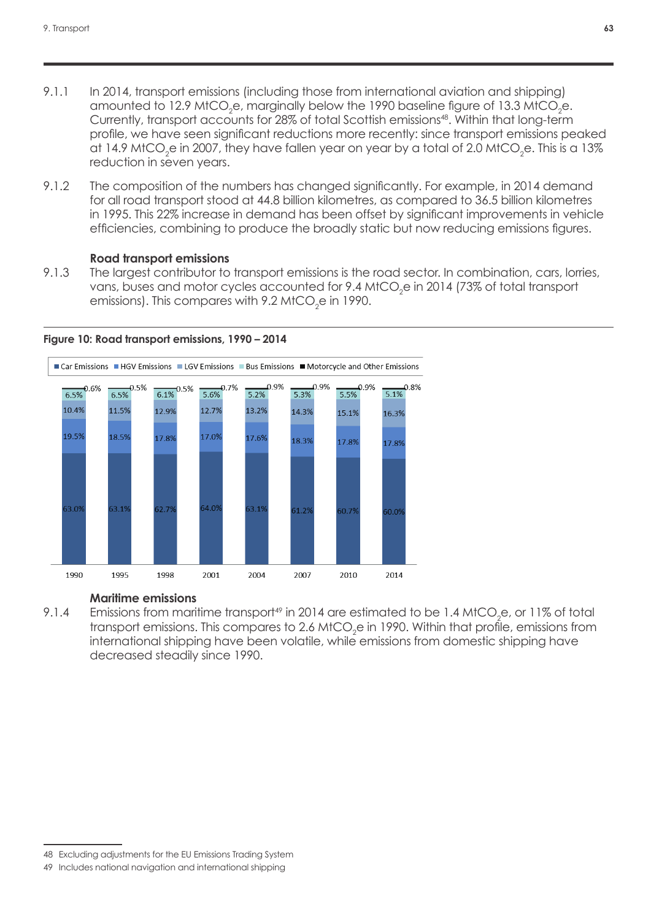- 9.1.1 In 2014, transport emissions (including those from international aviation and shipping) amounted to 12.9 MtCO<sub>2</sub>e, marginally below the 1990 baseline figure of 13.3 MtCO<sub>2</sub>e. Currently, transport accounts for 28% of total Scottish emissions<sup>48</sup>. Within that long-term profile, we have seen significant reductions more recently: since transport emissions peaked at 14.9 MtCO $_2$ e in 2007, they have fallen year on year by a total of 2.0 MtCO $_2$ e. This is a 13% reduction in seven years.
- 9.1.2 The composition of the numbers has changed significantly. For example, in 2014 demand for all road transport stood at 44.8 billion kilometres, as compared to 36.5 billion kilometres in 1995. This 22% increase in demand has been offset by significant improvements in vehicle efficiencies, combining to produce the broadly static but now reducing emissions figures.  $\epsilon$  is a complete the broad  $\epsilon$  of produce the broadly static but now  $\epsilon$

# **Road transport emissions** emissions figures.

9.1.3 The largest contributor to transport emissions is the road sector. In combination, cars, lorries, vans, buses and motor cycles accounted for 9.4 MtCO<sub>2</sub>e in 2014 (73% of total transport emissions). This compares with 0.0 MtCO c in 1999. emissions). This compares with 9.2 MtCO $_2$ e in 1990.



MtCO2e in 2014 (73% of total transport emissions). This compares with 9.2

# Figure 10: Road transport emissions, 1990 - 2014

#### **Maritime emissions**

 $M_{\rm H}$  and  $M_{\rm H}$  in 2014 are estimated to be 1.4 MtCO<sub>2</sub>C, or 11% of fortunations from transport emissions. This compares to 2.6 MtCO<sub>2</sub>e in 1990. Within that profile, emissions from international shipping have been volatile, while emissions from domestic shipping have decreased steadily since 1990. 9.1.4 Emissions from maritime transport<sup>49</sup> in 2014 are estimated to be 1.4 MtCO<sub>2</sub>e, or 11% of total

<sup>48</sup> Excluding adjustments for the EU Emissions Trading System

<sup>49</sup> Includes national navigation and international shipping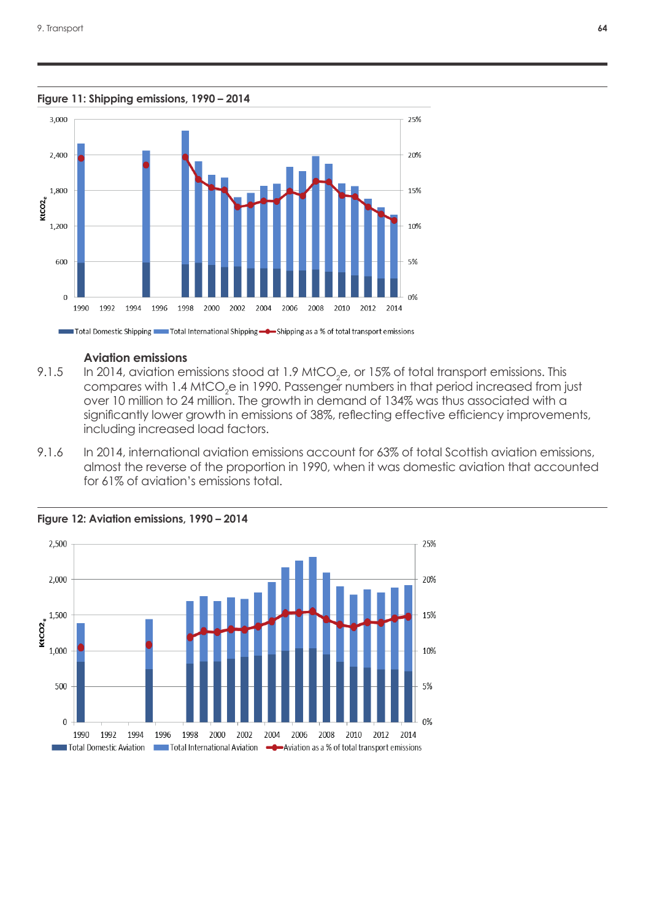**Figure 11: Shipping emissions, 1990 – 2014**



Total Domestic Shipping **The Total International Shipping -** Shipping as a % of total transport emissions

#### **Aviation emissions**, 1990 - 2014 - 2014 - 2014 - 2014 - 2014 - 2014 - 2014 - 2014 - 2014 - 2014 - 2014 - 2014 - 2014 - 2014 - 2014 - 2014 - 2014 - 2014 - 2014 - 2014 - 2014 - 2014 - 2014 - 2014 - 2014 - 2014 - 2014 - 2014 Figure 11: Shipping emissions, 1990 - 2014

- 9.1.5 In 2014, aviation emissions stood at 1.9 MtCO<sub>2</sub>e, or 15% of total transport emissions. This correspondence with 1.4 MtCO a in 1999. Personal resulting in the transition research from it over 10 million to 24 million. The growth in demand of 134% was thus associated with a significantly lower growth in emissions of 38%, reflecting effective efficiency improvements, including increased load factors. compares with 1.4 MtCO $_2$ e in 1990. Passenger numbers in that period increased from just
- The growth in demand of 134% was the growth in demand of 134% was thus associated with a significant lying  $\alpha$ 9.1.6 In 2014, international aviation emissions account for 63% of total Scottish aviation emissions, almost the reverse of the proportion in 1990, when it was domestic aviation that accounted 1.6 In 2019, in 2019, international aviation emission of total. for 61% of aviation's emissions total. 7.1.0 In 2014, inflemational aviation emissiol



Scottish aviation emissions, almost the reverse of the proportion in 1990,

Figure 12: Aviation emissions, 1990 – 2014 when it was domestic aviation that accounted for  $\alpha$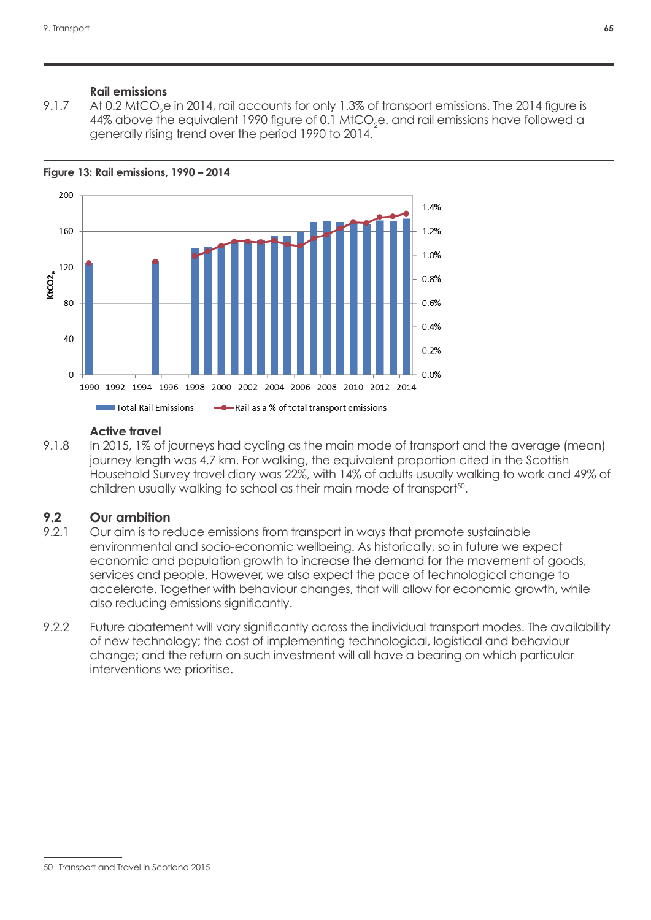#### **Rail emissions**

9.1.7  $\;\;\;$  At 0.2 MtCO<sub>2</sub>e in 2014, rail accounts for only 1.3% of transport emissions. The 2014 figure is 44% above the equivalent 1990 figure of 0.1 MtCO $_2$ e. and rail emissions have followed a generally rising trend over the period  $1990$  to  $2014$ .  $e^{2\pi i \omega t}$  figure is 44% above the equivalent 1990 figure of  $\omega$ 



MtCO2e. and rail emissions have followed a generally rising trend over the

#### **Active travel**

e fravel<br>Figure 13: Rail emissions, 1990 - 2014 journey length was 4.7 km. For walking, the equivalent proportion cited in the Scottish Household Survey travel diary was 22%, with 14% of adults usually walking to work and 49% of children usually walking to school as their main mode of transport<sup>50</sup>. 9.1.8 In 2015, 1% of journeys had cycling as the main mode of transport and the average (mean)

#### was 22%, with 14% of adults usually walking to work and 49% of children **9.2 Our ambition**

- 9.2.1 Our aim is to reduce emissions from transport in ways that promote sustainable environmental and socio-economic weilbeing. As historically, so in forde we expect<br>economic and population growth to increase the demand for the movement of goods, services and people. However, we also expect the pace of technological change to accelerate. Together with behaviour changes, that will allow for economic growth, while also reducing emissions significantly. environmental and socio-economic wellbeing. As historically, so in future we expect
- demand for the movement of goods, services and people. However, we also 9.2.2 Future abatement will vary significantly across the individual transport modes. The availability of new technology; the cost of implementing technological, logistical and behaviour change; and the return on such investment will all have a bearing on which particular 9.2.2 Future abatement will vary significantly across the individual interventions we prioritise.

<sup>50</sup> [Transport and Travel in Scotland 2015](http://www.transport.gov.scot/report/j450918-01.htm)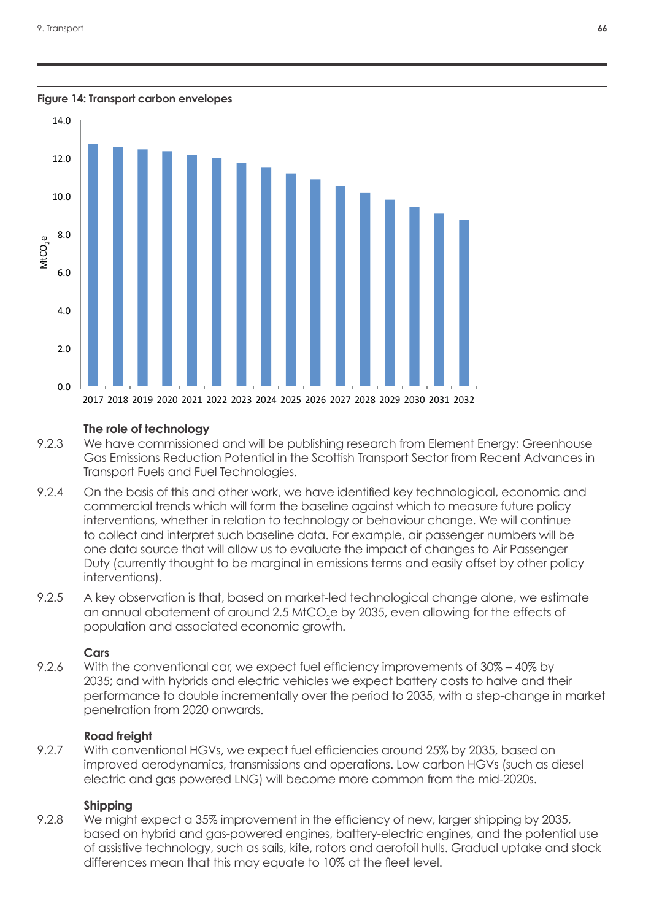#### **Figure 14: Transport carbon envelopes**



### **The role of technology**

- The role of technology Transport Fuels and Fuel Technologies. 9.2.3 We have commissioned and will be publishing research from Element Energy: Greenhouse Gas Emissions Reduction Potential in the Scottish Transport Sector from Recent Advances in
- 9.2.4 On the basis of this and other work, we have identified key technological, economic and EREGISTED COMMISSIONS OF THE CHICLE CHICLE INCREDUCTION POTENTIAL COMMERCIAL COMMERCIAl trends which will form the baseline against which to measure future policy Ecommercial member which will continue to accurring against which is the accurate points. to collect and interpret such baseline data. For example, air passenger numbers will be one data source that will allow us to evaluate the impact of changes to Air Passenger Duty (currently thought to be marginal in emissions terms and easily offset by other policy interventions). Which to measure policy interventions, where in relations  $\alpha$  in relation to  $\alpha$
- 9.2.5 A key observation is that, based on market-led technological change alone, we estimate  $\frac{1}{2.5}$  They absorbed that, based arritality for determining and the offects of an annual abatement of around 2.5 MtCO<sub>2</sub>e by 2035, even allowing for the effects of  $\frac{1}{2}$  and input would not the input of changes to  $\frac{1}{2}$  or  $\frac{1}{2}$  over the input of changes to  $\frac{1}{2}$ population and associated economic growth.

# by other policy interventions.) **Cars**

9.2.6 Mith the conventional car, we expect fuel efficiency improvements of 30% – 40% by 2035; and with hybrids and electric vehicles we expect battery costs to halve and their performance to double incrementally over the period to 2035, with a step-change in market penetration from 2020 onwards.

#### **Road freight**

9.2.7 With conventional HGVs, we expect fuel efficiencies around 25% by 2035, based on improved aerodynamics, transmissions and operations. Low carbon HGVs (such as diesel electric and gas powered LNG) will become more common from the mid-2020s.

### **Shipping**

9.2.8 We might expect a 35% improvement in the efficiency of new, larger shipping by 2035, based on hybrid and gas-powered engines, battery-electric engines, and the potential use of assistive technology, such as sails, kite, rotors and aerofoil hulls. Gradual uptake and stock differences mean that this may equate to 10% at the fleet level.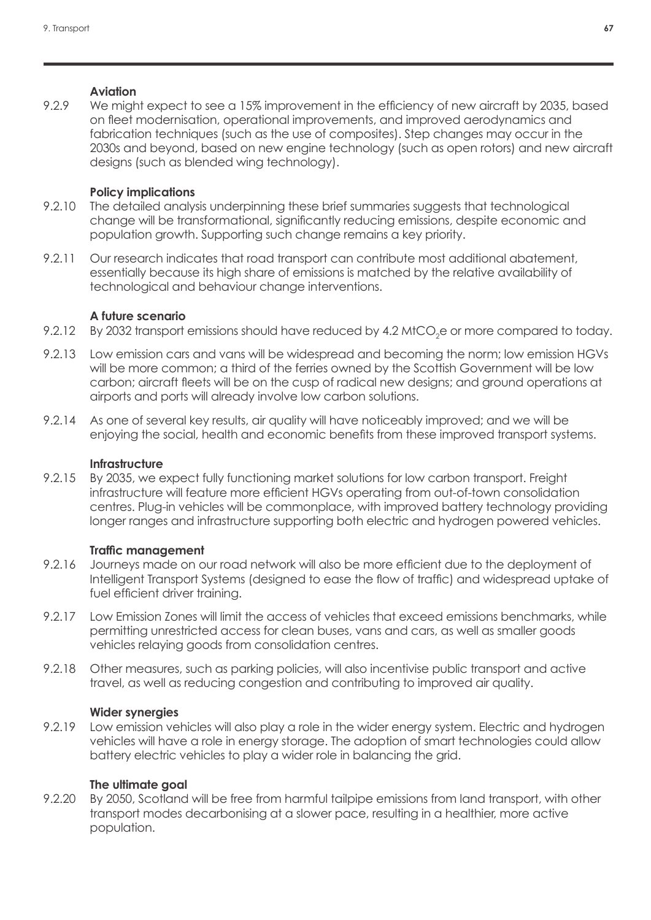## **Aviation**

9.2.9 We might expect to see a 15% improvement in the efficiency of new aircraft by 2035, based on fleet modernisation, operational improvements, and improved aerodynamics and fabrication techniques (such as the use of composites). Step changes may occur in the 2030s and beyond, based on new engine technology (such as open rotors) and new aircraft designs (such as blended wing technology).

## **Policy implications**

- 9.2.10 The detailed analysis underpinning these brief summaries suggests that technological change will be transformational, significantly reducing emissions, despite economic and population growth. Supporting such change remains a key priority.
- 9.2.11 Our research indicates that road transport can contribute most additional abatement, essentially because its high share of emissions is matched by the relative availability of technological and behaviour change interventions.

## **A future scenario**

- 9.2.12  $\,$  By 2032 transport emissions should have reduced by 4.2 MtCO $_2$ e or more compared to today.
- 9.2.13 Low emission cars and vans will be widespread and becoming the norm; low emission HGVs will be more common; a third of the ferries owned by the Scottish Government will be low carbon; aircraft fleets will be on the cusp of radical new designs; and ground operations at airports and ports will already involve low carbon solutions.
- 9.2.14 As one of several key results, air quality will have noticeably improved; and we will be enjoying the social, health and economic benefits from these improved transport systems.

## **Infrastructure**

9.2.15 By 2035, we expect fully functioning market solutions for low carbon transport. Freight infrastructure will feature more efficient HGVs operating from out-of-town consolidation centres. Plug-in vehicles will be commonplace, with improved battery technology providing longer ranges and infrastructure supporting both electric and hydrogen powered vehicles.

## **Traffic management**

- 9.2.16 Journeys made on our road network will also be more efficient due to the deployment of Intelligent Transport Systems (designed to ease the flow of traffic) and widespread uptake of fuel efficient driver training.
- 9.2.17 Low Emission Zones will limit the access of vehicles that exceed emissions benchmarks, while permitting unrestricted access for clean buses, vans and cars, as well as smaller goods vehicles relaying goods from consolidation centres.
- 9.2.18 Other measures, such as parking policies, will also incentivise public transport and active travel, as well as reducing congestion and contributing to improved air quality.

## **Wider synergies**

9.2.19 Low emission vehicles will also play a role in the wider energy system. Electric and hydrogen vehicles will have a role in energy storage. The adoption of smart technologies could allow battery electric vehicles to play a wider role in balancing the grid.

# **The ultimate goal**

9.2.20 By 2050, Scotland will be free from harmful tailpipe emissions from land transport, with other transport modes decarbonising at a slower pace, resulting in a healthier, more active population.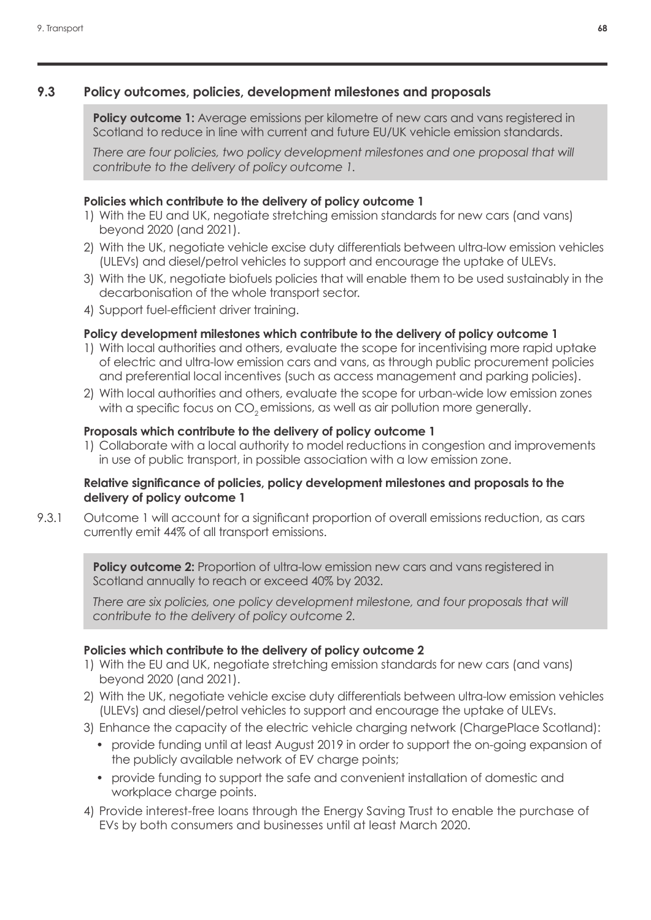### **9.3 Policy outcomes, policies, development milestones and proposals**

**Policy outcome 1:** Average emissions per kilometre of new cars and vans registered in Scotland to reduce in line with current and future EU/UK vehicle emission standards.

There are four policies, two policy development milestones and one proposal that will *contribute to the delivery of policy outcome 1.*

### **Policies which contribute to the delivery of policy outcome 1**

- 1) With the EU and UK, negotiate stretching emission standards for new cars (and vans) beyond 2020 (and 2021).
- 2) With the UK, negotiate vehicle excise duty differentials between ultra-low emission vehicles (ULEVs) and diesel/petrol vehicles to support and encourage the uptake of ULEVs.
- 3) With the UK, negotiate biofuels policies that will enable them to be used sustainably in the decarbonisation of the whole transport sector.
- 4) Support fuel-efficient driver training.

### **Policy development milestones which contribute to the delivery of policy outcome 1**

- 1) With local authorities and others, evaluate the scope for incentivising more rapid uptake of electric and ultra-low emission cars and vans, as through public procurement policies and preferential local incentives (such as access management and parking policies).
- 2) With local authorities and others, evaluate the scope for urban-wide low emission zones with a specific focus on CO<sub>2</sub> emissions, as well as air pollution more generally.

#### **Proposals which contribute to the delivery of policy outcome 1**

1) Collaborate with a local authority to model reductions in congestion and improvements in use of public transport, in possible association with a low emission zone.

#### **Relative significance of policies, policy development milestones and proposals to the delivery of policy outcome 1**

9.3.1 Outcome 1 will account for a significant proportion of overall emissions reduction, as cars currently emit 44% of all transport emissions.

**Policy outcome 2:** Proportion of ultra-low emission new cars and vans registered in Scotland annually to reach or exceed 40% by 2032.

There are six policies, one policy development milestone, and four proposals that will *contribute to the delivery of policy outcome 2.*

#### **Policies which contribute to the delivery of policy outcome 2**

- 1) With the EU and UK, negotiate stretching emission standards for new cars (and vans) beyond 2020 (and 2021).
- 2) With the UK, negotiate vehicle excise duty differentials between ultra-low emission vehicles (ULEVs) and diesel/petrol vehicles to support and encourage the uptake of ULEVs.
- 3) Enhance the capacity of the electric vehicle charging network (ChargePlace Scotland):
	- provide funding until at least August 2019 in order to support the on-going expansion of the publicly available network of EV charge points;
	- provide funding to support the safe and convenient installation of domestic and workplace charge points.
- 4) Provide interest-free loans through the Energy Saving Trust to enable the purchase of EVs by both consumers and businesses until at least March 2020.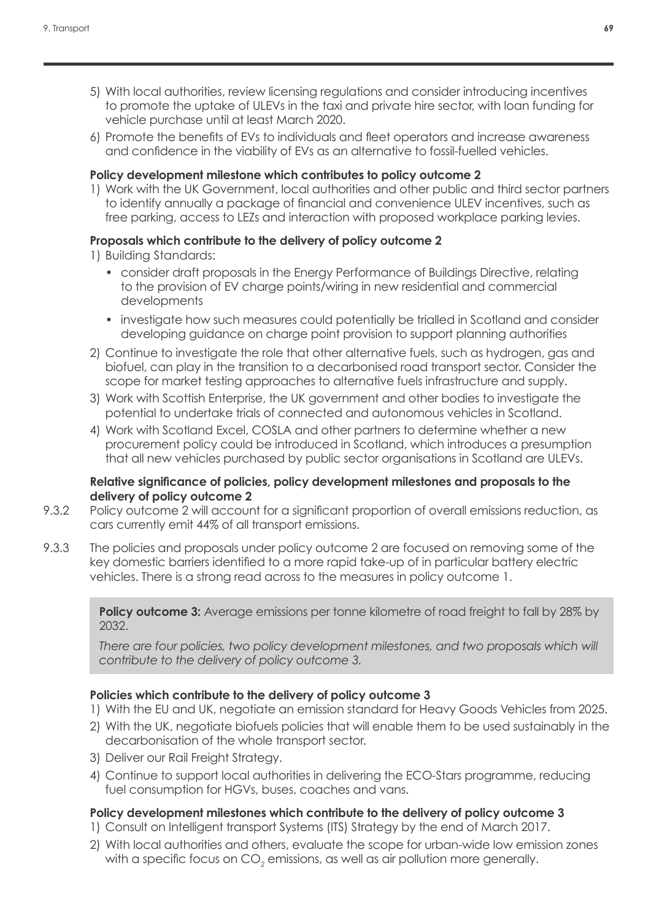- 5) With local authorities, review licensing regulations and consider introducing incentives to promote the uptake of ULEVs in the taxi and private hire sector, with loan funding for vehicle purchase until at least March 2020.
- 6) Promote the benefits of EVs to individuals and fleet operators and increase awareness and confidence in the viability of EVs as an alternative to fossil-fuelled vehicles.

#### **Policy development milestone which contributes to policy outcome 2**

1) Work with the UK Government, local authorities and other public and third sector partners to identify annually a package of financial and convenience ULEV incentives, such as free parking, access to LEZs and interaction with proposed workplace parking levies.

### **Proposals which contribute to the delivery of policy outcome 2**

- 1) Building Standards:
	- consider draft proposals in the Energy Performance of Buildings Directive, relating to the provision of EV charge points/wiring in new residential and commercial developments
	- investigate how such measures could potentially be trialled in Scotland and consider developing guidance on charge point provision to support planning authorities
- 2) Continue to investigate the role that other alternative fuels, such as hydrogen, gas and biofuel, can play in the transition to a decarbonised road transport sector. Consider the scope for market testing approaches to alternative fuels infrastructure and supply.
- 3) Work with Scottish Enterprise, the UK government and other bodies to investigate the potential to undertake trials of connected and autonomous vehicles in Scotland.
- 4) Work with Scotland Excel, COSLA and other partners to determine whether a new procurement policy could be introduced in Scotland, which introduces a presumption that all new vehicles purchased by public sector organisations in Scotland are ULEVs.

#### **Relative significance of policies, policy development milestones and proposals to the delivery of policy outcome 2**

- 9.3.2 Policy outcome 2 will account for a significant proportion of overall emissions reduction, as cars currently emit 44% of all transport emissions.
- 9.3.3 The policies and proposals under policy outcome 2 are focused on removing some of the key domestic barriers identified to a more rapid take-up of in particular battery electric vehicles. There is a strong read across to the measures in policy outcome 1.

**Policy outcome 3:** Average emissions per tonne kilometre of road freight to fall by 28% by 2032.

*There are four policies, two policy development milestones, and two proposals which will contribute to the delivery of policy outcome 3.*

### **Policies which contribute to the delivery of policy outcome 3**

- 1) With the EU and UK, negotiate an emission standard for Heavy Goods Vehicles from 2025.
- 2) With the UK, negotiate biofuels policies that will enable them to be used sustainably in the decarbonisation of the whole transport sector.
- 3) Deliver our Rail Freight Strategy.
- 4) Continue to support local authorities in delivering the ECO-Stars programme, reducing fuel consumption for HGVs, buses, coaches and vans.

### **Policy development milestones which contribute to the delivery of policy outcome 3**

- 1) Consult on Intelligent transport Systems (ITS) Strategy by the end of March 2017.
- 2) With local authorities and others, evaluate the scope for urban-wide low emission zones with a specific focus on CO $_{\textrm{\tiny{2}}}$  emissions, as well as air pollution more generally.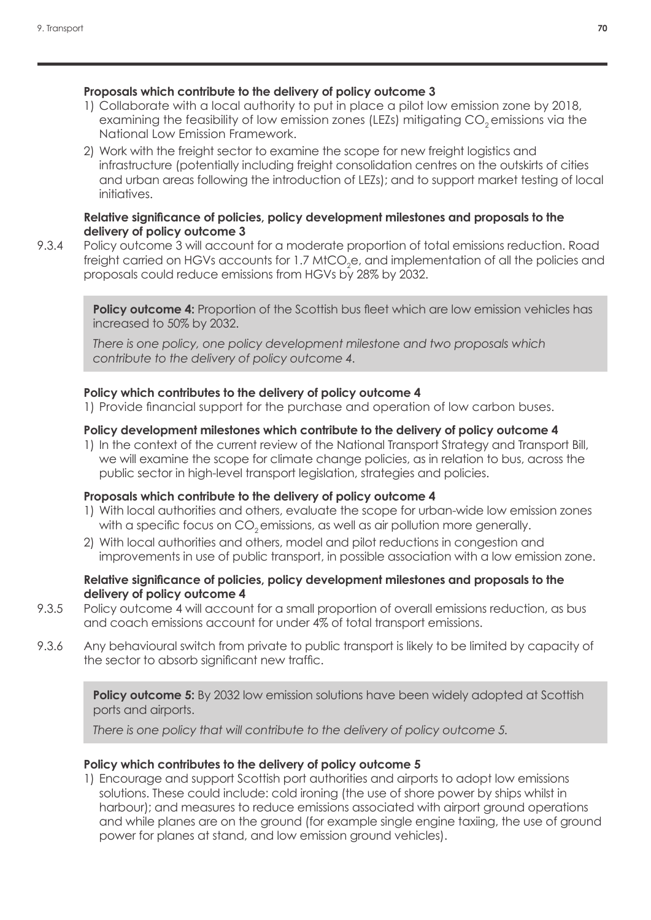### **Proposals which contribute to the delivery of policy outcome 3**

- 1) Collaborate with a local authority to put in place a pilot low emission zone by 2018, examining the feasibility of low emission zones (LEZs) mitigating CO<sub>2</sub> emissions via the National Low Emission Framework.
- 2) Work with the freight sector to examine the scope for new freight logistics and infrastructure (potentially including freight consolidation centres on the outskirts of cities and urban areas following the introduction of LEZs); and to support market testing of local initiatives.

#### **Relative significance of policies, policy development milestones and proposals to the delivery of policy outcome 3**

9.3.4 Policy outcome 3 will account for a moderate proportion of total emissions reduction. Road freight carried on HGVs accounts for 1.7 MtCO<sub>2</sub>e, and implementation of all the policies and proposals could reduce emissions from HGVs by 28% by 2032.

**Policy outcome 4:** Proportion of the Scottish bus fleet which are low emission vehicles has increased to 50% by 2032.

*There is one policy, one policy development milestone and two proposals which contribute to the delivery of policy outcome 4.*

### **Policy which contributes to the delivery of policy outcome 4**

1) Provide financial support for the purchase and operation of low carbon buses.

#### **Policy development milestones which contribute to the delivery of policy outcome 4**

1) In the context of the current review of the National Transport Strategy and Transport Bill, we will examine the scope for climate change policies, as in relation to bus, across the public sector in high-level transport legislation, strategies and policies.

#### **Proposals which contribute to the delivery of policy outcome 4**

- 1) With local authorities and others, evaluate the scope for urban-wide low emission zones with a specific focus on CO<sub>2</sub> emissions, as well as air pollution more generally.
- 2) With local authorities and others, model and pilot reductions in congestion and improvements in use of public transport, in possible association with a low emission zone.

#### **Relative significance of policies, policy development milestones and proposals to the delivery of policy outcome 4**

- 9.3.5 Policy outcome 4 will account for a small proportion of overall emissions reduction, as bus and coach emissions account for under 4% of total transport emissions.
- 9.3.6 Any behavioural switch from private to public transport is likely to be limited by capacity of the sector to absorb significant new traffic.

**Policy outcome 5:** By 2032 low emission solutions have been widely adopted at Scottish ports and airports.

*There is one policy that will contribute to the delivery of policy outcome 5.*

#### **Policy which contributes to the delivery of policy outcome 5**

1) Encourage and support Scottish port authorities and airports to adopt low emissions solutions. These could include: cold ironing (the use of shore power by ships whilst in harbour); and measures to reduce emissions associated with airport ground operations and while planes are on the ground (for example single engine taxiing, the use of ground power for planes at stand, and low emission ground vehicles).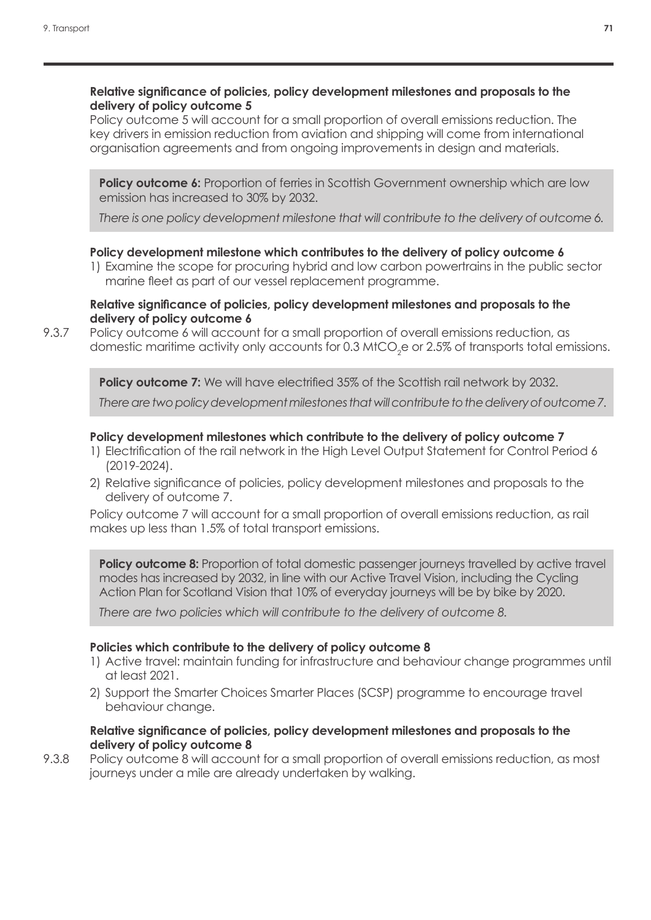#### **Relative significance of policies, policy development milestones and proposals to the delivery of policy outcome 5**

Policy outcome 5 will account for a small proportion of overall emissions reduction. The key drivers in emission reduction from aviation and shipping will come from international organisation agreements and from ongoing improvements in design and materials.

**Policy outcome 6:** Proportion of ferries in Scottish Government ownership which are low emission has increased to 30% by 2032.

*There is one policy development milestone that will contribute to the delivery of outcome 6.*

#### **Policy development milestone which contributes to the delivery of policy outcome 6**

1) Examine the scope for procuring hybrid and low carbon powertrains in the public sector marine fleet as part of our vessel replacement programme.

#### **Relative significance of policies, policy development milestones and proposals to the delivery of policy outcome 6**

9.3.7 Policy outcome 6 will account for a small proportion of overall emissions reduction, as domestic maritime activity only accounts for 0.3 MtCO<sub>2</sub>e or 2.5% of transports total emissions.

**Policy outcome 7:** We will have electrified 35% of the Scottish rail network by 2032.

*There are two policy development milestones that will contribute to the delivery of outcome 7.*

#### **Policy development milestones which contribute to the delivery of policy outcome 7**

- 1) Electrification of the rail network in the High Level Output Statement for Control Period 6 (2019-2024).
- 2) Relative significance of policies, policy development milestones and proposals to the delivery of outcome 7.

Policy outcome 7 will account for a small proportion of overall emissions reduction, as rail makes up less than 1.5% of total transport emissions.

**Policy outcome 8:** Proportion of total domestic passenger journeys travelled by active travel modes has increased by 2032, in line with our Active Travel Vision, including the Cycling Action Plan for Scotland Vision that 10% of everyday journeys will be by bike by 2020.

*There are two policies which will contribute to the delivery of outcome 8.*

#### **Policies which contribute to the delivery of policy outcome 8**

- 1) Active travel: maintain funding for infrastructure and behaviour change programmes until at least 2021.
- 2) Support the Smarter Choices Smarter Places (SCSP) programme to encourage travel behaviour change.

#### **Relative significance of policies, policy development milestones and proposals to the delivery of policy outcome 8**

9.3.8 Policy outcome 8 will account for a small proportion of overall emissions reduction, as most journeys under a mile are already undertaken by walking.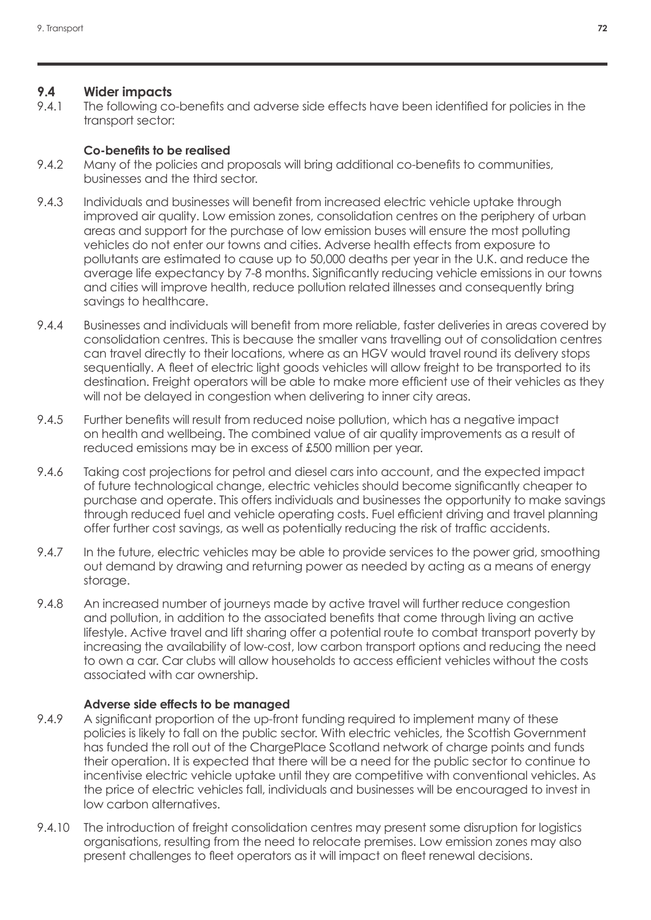### **9.4 Wider impacts**

9.4.1 The following co-benefits and adverse side effects have been identified for policies in the transport sector:

#### **Co-benefits to be realised**

- 9.4.2 Many of the policies and proposals will bring additional co-benefits to communities, businesses and the third sector.
- 9.4.3 Individuals and businesses will benefit from increased electric vehicle uptake through improved air quality. Low emission zones, consolidation centres on the periphery of urban areas and support for the purchase of low emission buses will ensure the most polluting vehicles do not enter our towns and cities. Adverse health effects from exposure to pollutants are estimated to cause up to 50,000 deaths per year in the U.K. and reduce the average life expectancy by 7-8 months. Significantly reducing vehicle emissions in our towns and cities will improve health, reduce pollution related illnesses and consequently bring savings to healthcare.
- 9.4.4 Businesses and individuals will benefit from more reliable, faster deliveries in areas covered by consolidation centres. This is because the smaller vans travelling out of consolidation centres can travel directly to their locations, where as an HGV would travel round its delivery stops sequentially. A fleet of electric light goods vehicles will allow freight to be transported to its destination. Freight operators will be able to make more efficient use of their vehicles as they will not be delayed in congestion when delivering to inner city areas.
- 9.4.5 Further benefits will result from reduced noise pollution, which has a negative impact on health and wellbeing. The combined value of air quality improvements as a result of reduced emissions may be in excess of £500 million per year.
- 9.4.6 Taking cost projections for petrol and diesel cars into account, and the expected impact of future technological change, electric vehicles should become significantly cheaper to purchase and operate. This offers individuals and businesses the opportunity to make savings through reduced fuel and vehicle operating costs. Fuel efficient driving and travel planning offer further cost savings, as well as potentially reducing the risk of traffic accidents.
- 9.4.7 In the future, electric vehicles may be able to provide services to the power grid, smoothing out demand by drawing and returning power as needed by acting as a means of energy storage.
- 9.4.8 An increased number of journeys made by active travel will further reduce congestion and pollution, in addition to the associated benefits that come through living an active lifestyle. Active travel and lift sharing offer a potential route to combat transport poverty by increasing the availability of low-cost, low carbon transport options and reducing the need to own a car. Car clubs will allow households to access efficient vehicles without the costs associated with car ownership.

### **Adverse side effects to be managed**

- 9.4.9 A significant proportion of the up-front funding required to implement many of these policies is likely to fall on the public sector. With electric vehicles, the Scottish Government has funded the roll out of the ChargePlace Scotland network of charge points and funds their operation. It is expected that there will be a need for the public sector to continue to incentivise electric vehicle uptake until they are competitive with conventional vehicles. As the price of electric vehicles fall, individuals and businesses will be encouraged to invest in low carbon alternatives.
- 9.4.10 The introduction of freight consolidation centres may present some disruption for logistics organisations, resulting from the need to relocate premises. Low emission zones may also present challenges to fleet operators as it will impact on fleet renewal decisions.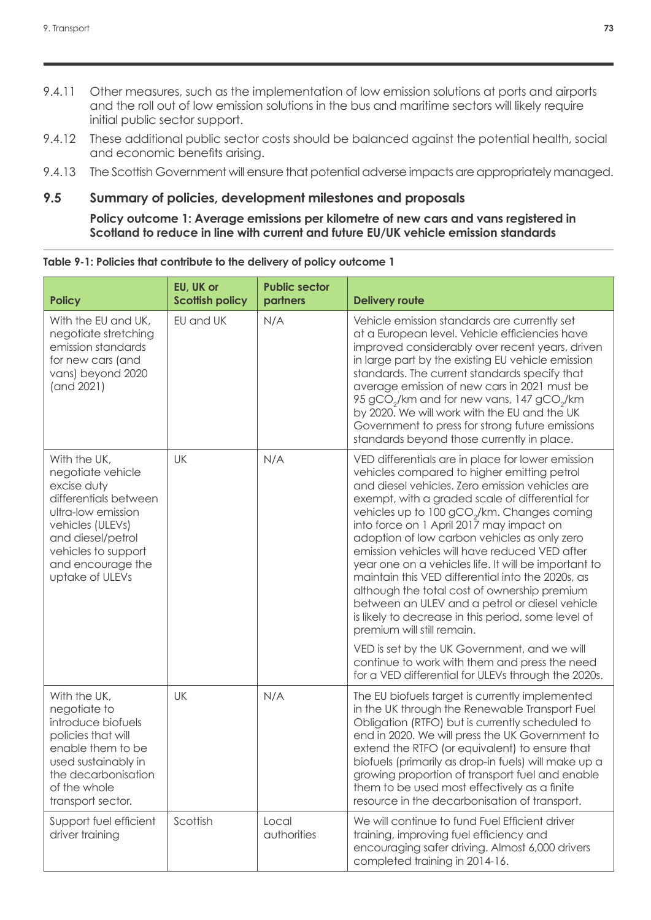- 9.4.11 Other measures, such as the implementation of low emission solutions at ports and airports and the roll out of low emission solutions in the bus and maritime sectors will likely require initial public sector support.
- 9.4.12 These additional public sector costs should be balanced against the potential health, social and economic benefits arising.
- 9.4.13 The Scottish Government will ensure that potential adverse impacts are appropriately managed.

### **9.5 Summary of policies, development milestones and proposals**

**Policy outcome 1: Average emissions per kilometre of new cars and vans registered in Scotland to reduce in line with current and future EU/UK vehicle emission standards**

| <b>Policy</b>                                                                                                                                                                                           | EU, UK or<br><b>Scottish policy</b> | <b>Public sector</b><br>partners | <b>Delivery route</b>                                                                                                                                                                                                                                                                                                                                                                                                                                                                                                                                                                                                                                                                                              |
|---------------------------------------------------------------------------------------------------------------------------------------------------------------------------------------------------------|-------------------------------------|----------------------------------|--------------------------------------------------------------------------------------------------------------------------------------------------------------------------------------------------------------------------------------------------------------------------------------------------------------------------------------------------------------------------------------------------------------------------------------------------------------------------------------------------------------------------------------------------------------------------------------------------------------------------------------------------------------------------------------------------------------------|
| With the EU and UK,<br>negotiate stretching<br>emission standards<br>for new cars (and<br>vans) beyond 2020<br>(and 2021)                                                                               | EU and UK                           | N/A                              | Vehicle emission standards are currently set<br>at a European level. Vehicle efficiencies have<br>improved considerably over recent years, driven<br>in large part by the existing EU vehicle emission<br>standards. The current standards specify that<br>average emission of new cars in 2021 must be<br>95 gCO <sub>2</sub> /km and for new vans, 147 gCO <sub>2</sub> /km<br>by 2020. We will work with the EU and the UK<br>Government to press for strong future emissions<br>standards beyond those currently in place.                                                                                                                                                                                     |
| With the UK,<br>negotiate vehicle<br>excise duty<br>differentials between<br>ultra-low emission<br>vehicles (ULEVs)<br>and diesel/petrol<br>vehicles to support<br>and encourage the<br>uptake of ULEVs | UK                                  | N/A                              | VED differentials are in place for lower emission<br>vehicles compared to higher emitting petrol<br>and diesel vehicles. Zero emission vehicles are<br>exempt, with a graded scale of differential for<br>vehicles up to 100 gCO <sub>2</sub> /km. Changes coming<br>into force on 1 April 2017 may impact on<br>adoption of low carbon vehicles as only zero<br>emission vehicles will have reduced VED after<br>year one on a vehicles life. It will be important to<br>maintain this VED differential into the 2020s, as<br>although the total cost of ownership premium<br>between an ULEV and a petrol or diesel vehicle<br>is likely to decrease in this period, some level of<br>premium will still remain. |
|                                                                                                                                                                                                         |                                     |                                  | VED is set by the UK Government, and we will<br>continue to work with them and press the need<br>for a VED differential for ULEVs through the 2020s.                                                                                                                                                                                                                                                                                                                                                                                                                                                                                                                                                               |
| With the UK,<br>negotiate to<br>introduce biofuels<br>policies that will<br>enable them to be<br>used sustainably in<br>the decarbonisation<br>of the whole<br>transport sector.                        | UK                                  | N/A                              | The EU biofuels target is currently implemented<br>in the UK through the Renewable Transport Fuel<br>Obligation (RTFO) but is currently scheduled to<br>end in 2020. We will press the UK Government to<br>extend the RTFO (or equivalent) to ensure that<br>biofuels (primarily as drop-in fuels) will make up a<br>growing proportion of transport fuel and enable<br>them to be used most effectively as a finite<br>resource in the decarbonisation of transport.                                                                                                                                                                                                                                              |
| Support fuel efficient<br>driver training                                                                                                                                                               | Scottish                            | Local<br>authorities             | We will continue to fund Fuel Efficient driver<br>training, improving fuel efficiency and<br>encouraging safer driving. Almost 6,000 drivers<br>completed training in 2014-16.                                                                                                                                                                                                                                                                                                                                                                                                                                                                                                                                     |

#### **Table 9-1: Policies that contribute to the delivery of policy outcome 1**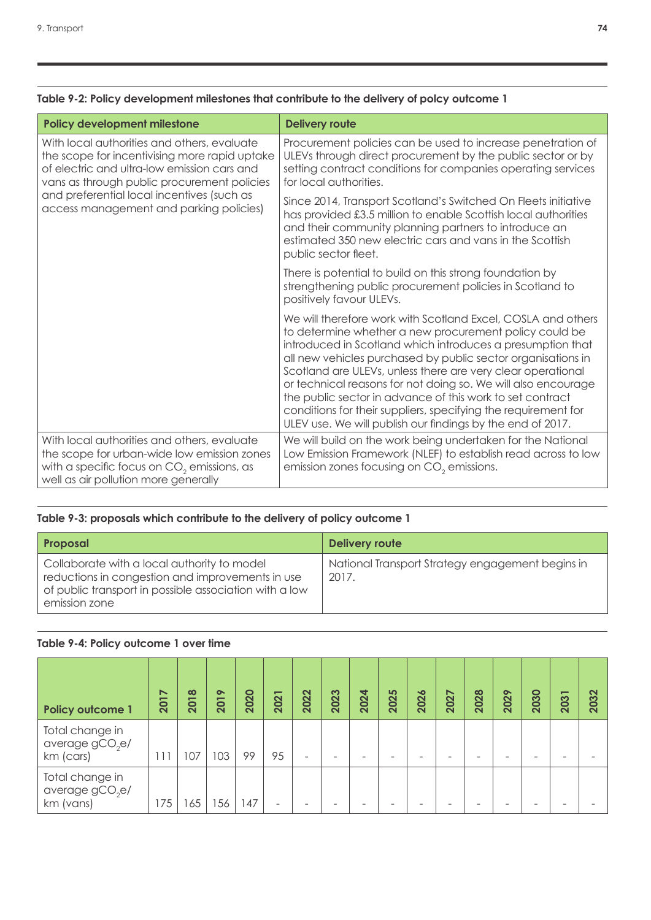| Policy development milestone                                                                                                                                                               | <b>Delivery route</b>                                                                                                                                                                                                                                                                                                                                                                                                                                                                                                                                                             |
|--------------------------------------------------------------------------------------------------------------------------------------------------------------------------------------------|-----------------------------------------------------------------------------------------------------------------------------------------------------------------------------------------------------------------------------------------------------------------------------------------------------------------------------------------------------------------------------------------------------------------------------------------------------------------------------------------------------------------------------------------------------------------------------------|
| With local authorities and others, evaluate<br>the scope for incentivising more rapid uptake<br>of electric and ultra-low emission cars and<br>vans as through public procurement policies | Procurement policies can be used to increase penetration of<br>ULEVs through direct procurement by the public sector or by<br>setting contract conditions for companies operating services<br>for local authorities.                                                                                                                                                                                                                                                                                                                                                              |
| and preferential local incentives (such as<br>access management and parking policies)                                                                                                      | Since 2014, Transport Scotland's Switched On Fleets initiative<br>has provided £3.5 million to enable Scottish local authorities<br>and their community planning partners to introduce an<br>estimated 350 new electric cars and vans in the Scottish<br>public sector fleet.                                                                                                                                                                                                                                                                                                     |
|                                                                                                                                                                                            | There is potential to build on this strong foundation by<br>strengthening public procurement policies in Scotland to<br>positively favour ULEVs.                                                                                                                                                                                                                                                                                                                                                                                                                                  |
|                                                                                                                                                                                            | We will therefore work with Scotland Excel, COSLA and others<br>to determine whether a new procurement policy could be<br>introduced in Scotland which introduces a presumption that<br>all new vehicles purchased by public sector organisations in<br>Scotland are ULEVs, unless there are very clear operational<br>or technical reasons for not doing so. We will also encourage<br>the public sector in advance of this work to set contract<br>conditions for their suppliers, specifying the requirement for<br>ULEV use. We will publish our findings by the end of 2017. |
| With local authorities and others, evaluate<br>the scope for urban-wide low emission zones<br>with a specific focus on $CO2$ emissions, as<br>well as air pollution more generally         | We will build on the work being undertaken for the National<br>Low Emission Framework (NLEF) to establish read across to low<br>emission zones focusing on $CO2$ emissions.                                                                                                                                                                                                                                                                                                                                                                                                       |

### **Table 9-2: Policy development milestones that contribute to the delivery of polcy outcome 1**

### **Table 9-3: proposals which contribute to the delivery of policy outcome 1**

| <b>Proposal</b>                                                                                                                                                            | <b>Delivery route</b>                                     |
|----------------------------------------------------------------------------------------------------------------------------------------------------------------------------|-----------------------------------------------------------|
| Collaborate with a local authority to model<br>reductions in congestion and improvements in use<br>of public transport in possible association with a low<br>emission zone | National Transport Strategy engagement begins in<br>2017. |

### **Table 9-4: Policy outcome 1 over time**

| <b>Policy outcome 1</b>                                     | $\breve{~}$<br>201 | 2018 | $\bullet$<br>201 | 2020 | 2021 | 2022                     | 2023 | 2024 | 2025                     | 2026                     | 2027 | 2028 | 2029 | 2030 | -<br>203 | $\mathbf{\Omega}$<br><b>CO</b><br>$\overline{\mathbf{S}}$ |
|-------------------------------------------------------------|--------------------|------|------------------|------|------|--------------------------|------|------|--------------------------|--------------------------|------|------|------|------|----------|-----------------------------------------------------------|
| Total change in<br>average $gCO2e/$<br>km (cars)            |                    | 07   | 103              | 99   | 95   | $\overline{\phantom{0}}$ |      |      | $\overline{\phantom{a}}$ | $\overline{\phantom{a}}$ |      |      |      |      |          |                                                           |
| Total change in<br>average gCO <sub>2</sub> e/<br>km (vans) | 175                | 65   | 56               | 47   | -    |                          |      |      |                          |                          |      |      |      |      |          |                                                           |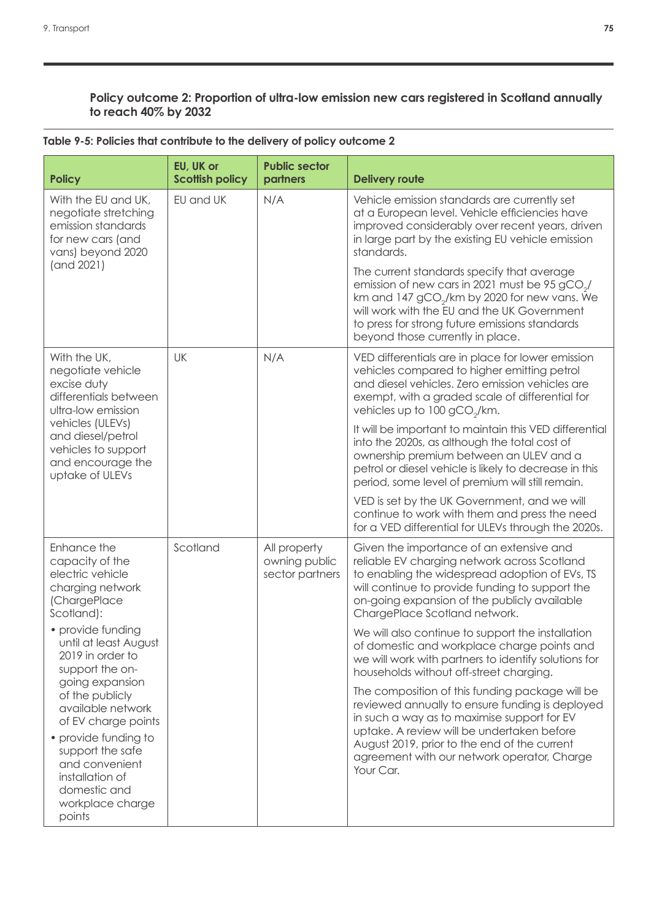### **Policy outcome 2: Proportion of ultra-low emission new cars registered in Scotland annually to reach 40% by 2032**

| <b>Policy</b>                                                                                                               | EU, UK or<br><b>Scottish policy</b> | <b>Public sector</b><br>partners                 | <b>Delivery route</b>                                                                                                                                                                                                                                                                                     |
|-----------------------------------------------------------------------------------------------------------------------------|-------------------------------------|--------------------------------------------------|-----------------------------------------------------------------------------------------------------------------------------------------------------------------------------------------------------------------------------------------------------------------------------------------------------------|
| With the EU and UK,<br>negotiate stretching<br>emission standards<br>for new cars (and<br>vans) beyond 2020                 | EU and UK                           | N/A                                              | Vehicle emission standards are currently set<br>at a European level. Vehicle efficiencies have<br>improved considerably over recent years, driven<br>in large part by the existing EU vehicle emission<br>standards.                                                                                      |
| (and 2021)                                                                                                                  |                                     |                                                  | The current standards specify that average<br>emission of new cars in 2021 must be 95 gCO <sub>2</sub> /<br>km and 147 gCO <sub>2</sub> /km by 2020 for new vans. We<br>will work with the EU and the UK Government<br>to press for strong future emissions standards<br>beyond those currently in place. |
| With the UK,<br>negotiate vehicle<br>excise duty<br>differentials between<br>ultra-low emission                             | UK                                  | N/A                                              | VED differentials are in place for lower emission<br>vehicles compared to higher emitting petrol<br>and diesel vehicles. Zero emission vehicles are<br>exempt, with a graded scale of differential for<br>vehicles up to 100 gCO <sub>2</sub> /km.                                                        |
| vehicles (ULEVs)<br>and diesel/petrol<br>vehicles to support<br>and encourage the<br>uptake of ULEVs                        |                                     |                                                  | It will be important to maintain this VED differential<br>into the 2020s, as although the total cost of<br>ownership premium between an ULEV and a<br>petrol or diesel vehicle is likely to decrease in this<br>period, some level of premium will still remain.                                          |
|                                                                                                                             |                                     |                                                  | VED is set by the UK Government, and we will<br>continue to work with them and press the need<br>for a VED differential for ULEVs through the 2020s.                                                                                                                                                      |
| Enhance the<br>capacity of the<br>electric vehicle<br>charging network<br>(ChargePlace<br>Scotland):                        | Scotland                            | All property<br>owning public<br>sector partners | Given the importance of an extensive and<br>reliable EV charging network across Scotland<br>to enabling the widespread adoption of EVs, TS<br>will continue to provide funding to support the<br>on-going expansion of the publicly available<br>ChargePlace Scotland network.                            |
| · provide funding<br>until at least August<br>2019 in order to<br>support the on-                                           |                                     |                                                  | We will also continue to support the installation<br>of domestic and workplace charge points and<br>we will work with partners to identify solutions for<br>households without off-street charging.                                                                                                       |
| going expansion<br>of the publicly<br>available network<br>of EV charge points                                              |                                     |                                                  | The composition of this funding package will be<br>reviewed annually to ensure funding is deployed<br>in such a way as to maximise support for EV<br>uptake. A review will be undertaken before                                                                                                           |
| • provide funding to<br>support the safe<br>and convenient<br>installation of<br>domestic and<br>workplace charge<br>points |                                     |                                                  | August 2019, prior to the end of the current<br>agreement with our network operator, Charge<br>Your Car.                                                                                                                                                                                                  |

### **Table 9-5: Policies that contribute to the delivery of policy outcome 2**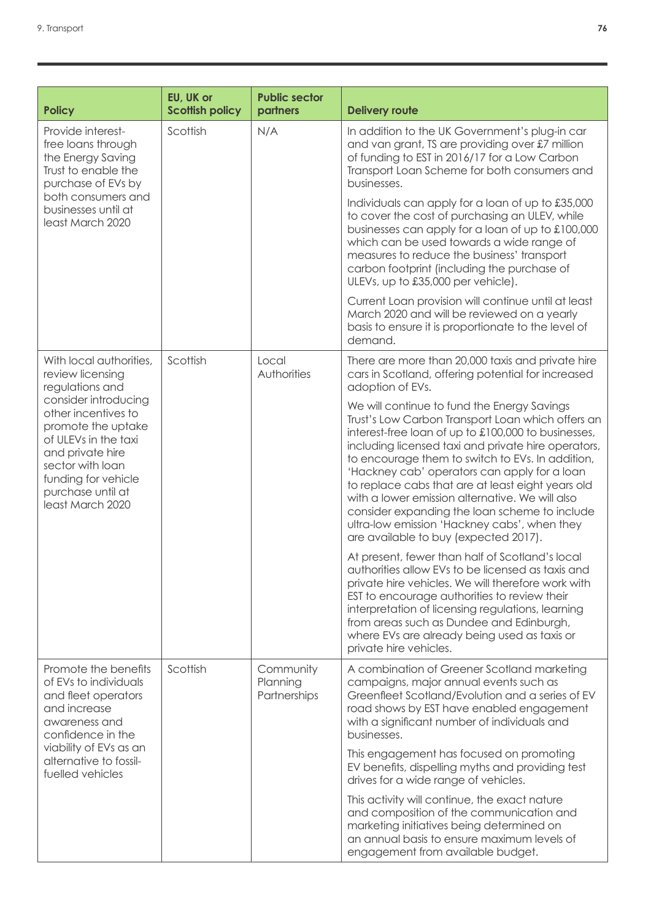| <b>Policy</b>                                                                                                                                                                                     | EU, UK or<br><b>Scottish policy</b> | <b>Public sector</b><br>partners      | <b>Delivery route</b>                                                                                                                                                                                                                                                                                                                                                                                                                                                                                                                                                |
|---------------------------------------------------------------------------------------------------------------------------------------------------------------------------------------------------|-------------------------------------|---------------------------------------|----------------------------------------------------------------------------------------------------------------------------------------------------------------------------------------------------------------------------------------------------------------------------------------------------------------------------------------------------------------------------------------------------------------------------------------------------------------------------------------------------------------------------------------------------------------------|
| Provide interest-<br>free loans through<br>the Energy Saving<br>Trust to enable the<br>purchase of EVs by                                                                                         | Scottish                            | N/A                                   | In addition to the UK Government's plug-in car<br>and van grant, TS are providing over £7 million<br>of funding to EST in 2016/17 for a Low Carbon<br>Transport Loan Scheme for both consumers and<br>businesses.                                                                                                                                                                                                                                                                                                                                                    |
| both consumers and<br>businesses until at<br>least March 2020                                                                                                                                     |                                     |                                       | Individuals can apply for a loan of up to £35,000<br>to cover the cost of purchasing an ULEV, while<br>businesses can apply for a loan of up to £100,000<br>which can be used towards a wide range of<br>measures to reduce the business' transport<br>carbon footprint (including the purchase of<br>ULEVs, up to £35,000 per vehicle).                                                                                                                                                                                                                             |
|                                                                                                                                                                                                   |                                     |                                       | Current Loan provision will continue until at least<br>March 2020 and will be reviewed on a yearly<br>basis to ensure it is proportionate to the level of<br>demand.                                                                                                                                                                                                                                                                                                                                                                                                 |
| With local authorities,<br>review licensing<br>regulations and                                                                                                                                    | Scottish                            | Local<br>Authorities                  | There are more than 20,000 taxis and private hire<br>cars in Scotland, offering potential for increased<br>adoption of EVs.                                                                                                                                                                                                                                                                                                                                                                                                                                          |
| consider introducing<br>other incentives to<br>promote the uptake<br>of ULEVs in the taxi<br>and private hire<br>sector with loan<br>funding for vehicle<br>purchase until at<br>least March 2020 |                                     |                                       | We will continue to fund the Energy Savings<br>Trust's Low Carbon Transport Loan which offers an<br>interest-free loan of up to £100,000 to businesses,<br>including licensed taxi and private hire operators,<br>to encourage them to switch to EVs. In addition,<br>'Hackney cab' operators can apply for a loan<br>to replace cabs that are at least eight years old<br>with a lower emission alternative. We will also<br>consider expanding the loan scheme to include<br>ultra-low emission 'Hackney cabs', when they<br>are available to buy (expected 2017). |
|                                                                                                                                                                                                   |                                     |                                       | At present, fewer than half of Scotland's local<br>authorities allow EVs to be licensed as taxis and<br>private hire vehicles. We will therefore work with<br>EST to encourage authorities to review their<br>interpretation of licensing regulations, learning<br>from areas such as Dundee and Edinburgh,<br>where EVs are already being used as taxis or<br>private hire vehicles.                                                                                                                                                                                |
| Promote the benefits<br>of EVs to individuals<br>and fleet operators<br>and increase<br>awareness and<br>confidence in the                                                                        | Scottish                            | Community<br>Planning<br>Partnerships | A combination of Greener Scotland marketing<br>campaigns, major annual events such as<br>Greenfleet Scotland/Evolution and a series of EV<br>road shows by EST have enabled engagement<br>with a significant number of individuals and<br>businesses.                                                                                                                                                                                                                                                                                                                |
| viability of EVs as an<br>alternative to fossil-<br>fuelled vehicles                                                                                                                              |                                     |                                       | This engagement has focused on promoting<br>EV benefits, dispelling myths and providing test<br>drives for a wide range of vehicles.                                                                                                                                                                                                                                                                                                                                                                                                                                 |
|                                                                                                                                                                                                   |                                     |                                       | This activity will continue, the exact nature<br>and composition of the communication and<br>marketing initiatives being determined on<br>an annual basis to ensure maximum levels of<br>engagement from available budget.                                                                                                                                                                                                                                                                                                                                           |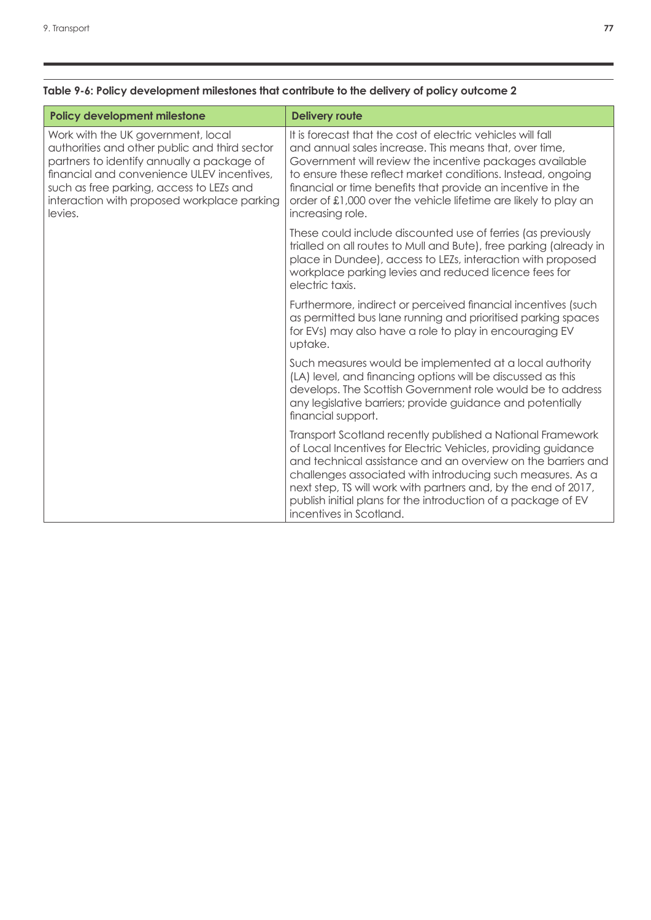| <b>Policy development milestone</b>                                                                                                                                                                                                                                                   | <b>Delivery route</b>                                                                                                                                                                                                                                                                                                                                                                                                   |
|---------------------------------------------------------------------------------------------------------------------------------------------------------------------------------------------------------------------------------------------------------------------------------------|-------------------------------------------------------------------------------------------------------------------------------------------------------------------------------------------------------------------------------------------------------------------------------------------------------------------------------------------------------------------------------------------------------------------------|
| Work with the UK government, local<br>authorities and other public and third sector<br>partners to identify annually a package of<br>financial and convenience ULEV incentives,<br>such as free parking, access to LEZs and<br>interaction with proposed workplace parking<br>levies. | It is forecast that the cost of electric vehicles will fall<br>and annual sales increase. This means that, over time,<br>Government will review the incentive packages available<br>to ensure these reflect market conditions. Instead, ongoing<br>financial or time benefits that provide an incentive in the<br>order of £1,000 over the vehicle lifetime are likely to play an<br>increasing role.                   |
|                                                                                                                                                                                                                                                                                       | These could include discounted use of ferries (as previously<br>trialled on all routes to Mull and Bute), free parking (already in<br>place in Dundee), access to LEZs, interaction with proposed<br>workplace parking levies and reduced licence fees for<br>electric taxis.                                                                                                                                           |
|                                                                                                                                                                                                                                                                                       | Furthermore, indirect or perceived financial incentives (such<br>as permitted bus lane running and prioritised parking spaces<br>for EVs) may also have a role to play in encouraging EV<br>uptake.                                                                                                                                                                                                                     |
|                                                                                                                                                                                                                                                                                       | Such measures would be implemented at a local authority<br>(LA) level, and financing options will be discussed as this<br>develops. The Scottish Government role would be to address<br>any legislative barriers; provide guidance and potentially<br>financial support.                                                                                                                                                |
|                                                                                                                                                                                                                                                                                       | Transport Scotland recently published a National Framework<br>of Local Incentives for Electric Vehicles, providing guidance<br>and technical assistance and an overview on the barriers and<br>challenges associated with introducing such measures. As a<br>next step, TS will work with partners and, by the end of 2017,<br>publish initial plans for the introduction of a package of EV<br>incentives in Scotland. |

### **Table 9-6: Policy development milestones that contribute to the delivery of policy outcome 2**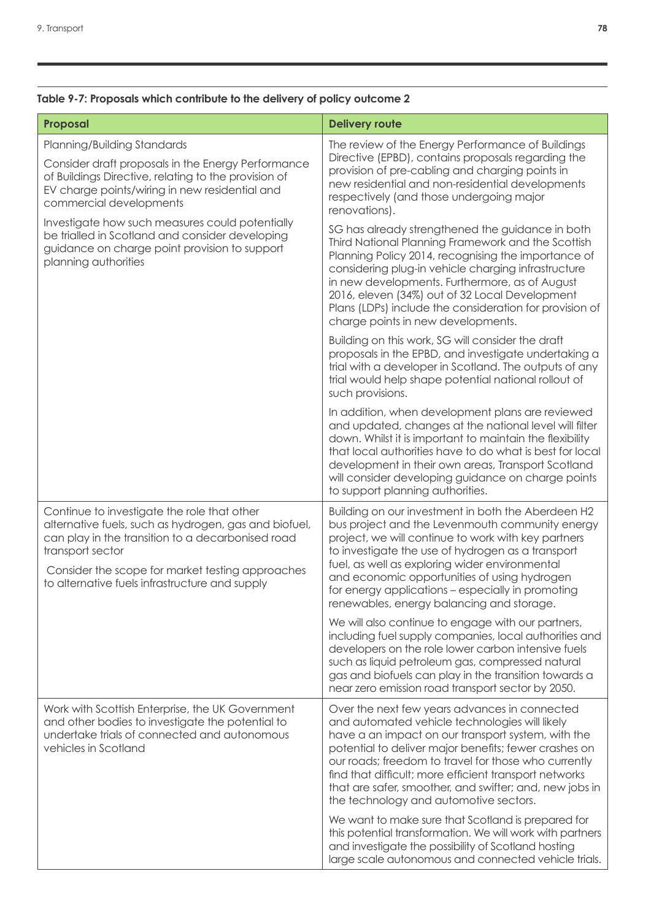### **Table 9-7: Proposals which contribute to the delivery of policy outcome 2**

| Proposal                                                                                                                                                                                                                                                                            | <b>Delivery route</b>                                                                                                                                                                                                                                                                                                                                                                                                                 |
|-------------------------------------------------------------------------------------------------------------------------------------------------------------------------------------------------------------------------------------------------------------------------------------|---------------------------------------------------------------------------------------------------------------------------------------------------------------------------------------------------------------------------------------------------------------------------------------------------------------------------------------------------------------------------------------------------------------------------------------|
| Planning/Building Standards<br>Consider draft proposals in the Energy Performance<br>of Buildings Directive, relating to the provision of<br>EV charge points/wiring in new residential and<br>commercial developments                                                              | The review of the Energy Performance of Buildings<br>Directive (EPBD), contains proposals regarding the<br>provision of pre-cabling and charging points in<br>new residential and non-residential developments<br>respectively (and those undergoing major<br>renovations).                                                                                                                                                           |
| Investigate how such measures could potentially<br>be trialled in Scotland and consider developing<br>guidance on charge point provision to support<br>planning authorities                                                                                                         | SG has already strengthened the guidance in both<br>Third National Planning Framework and the Scottish<br>Planning Policy 2014, recognising the importance of<br>considering plug-in vehicle charging infrastructure<br>in new developments. Furthermore, as of August<br>2016, eleven (34%) out of 32 Local Development<br>Plans (LDPs) include the consideration for provision of<br>charge points in new developments.             |
|                                                                                                                                                                                                                                                                                     | Building on this work, SG will consider the draft<br>proposals in the EPBD, and investigate undertaking a<br>trial with a developer in Scotland. The outputs of any<br>trial would help shape potential national rollout of<br>such provisions.                                                                                                                                                                                       |
|                                                                                                                                                                                                                                                                                     | In addition, when development plans are reviewed<br>and updated, changes at the national level will filter<br>down. Whilst it is important to maintain the flexibility<br>that local authorities have to do what is best for local<br>development in their own areas, Transport Scotland<br>will consider developing guidance on charge points<br>to support planning authorities.                                                    |
| Continue to investigate the role that other<br>alternative fuels, such as hydrogen, gas and biofuel,<br>can play in the transition to a decarbonised road<br>transport sector<br>Consider the scope for market testing approaches<br>to alternative fuels infrastructure and supply | Building on our investment in both the Aberdeen H2<br>bus project and the Levenmouth community energy<br>project, we will continue to work with key partners<br>to investigate the use of hydrogen as a transport<br>fuel, as well as exploring wider environmental<br>and economic opportunities of using hydrogen<br>for energy applications - especially in promoting<br>renewables, energy balancing and storage.                 |
|                                                                                                                                                                                                                                                                                     | We will also continue to engage with our partners,<br>including fuel supply companies, local authorities and<br>developers on the role lower carbon intensive fuels<br>such as liquid petroleum gas, compressed natural<br>gas and biofuels can play in the transition towards a<br>near zero emission road transport sector by 2050.                                                                                                 |
| Work with Scottish Enterprise, the UK Government<br>and other bodies to investigate the potential to<br>undertake trials of connected and autonomous<br>vehicles in Scotland                                                                                                        | Over the next few years advances in connected<br>and automated vehicle technologies will likely<br>have a an impact on our transport system, with the<br>potential to deliver major benefits; fewer crashes on<br>our roads; freedom to travel for those who currently<br>find that difficult; more efficient transport networks<br>that are safer, smoother, and swifter; and, new jobs in<br>the technology and automotive sectors. |
|                                                                                                                                                                                                                                                                                     | We want to make sure that Scotland is prepared for<br>this potential transformation. We will work with partners<br>and investigate the possibility of Scotland hosting<br>large scale autonomous and connected vehicle trials.                                                                                                                                                                                                        |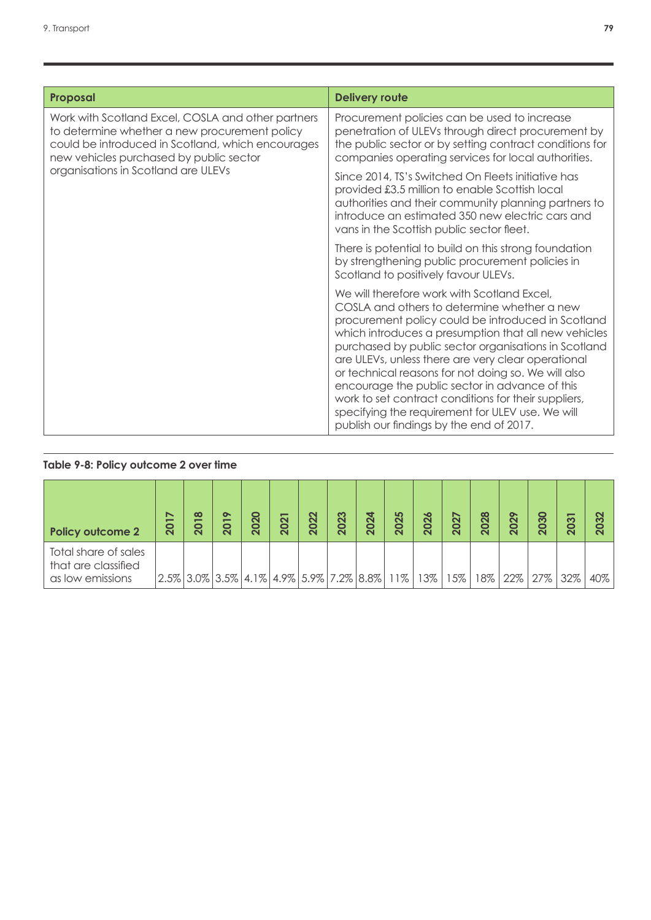| Proposal                                                                                                                                                                                            | <b>Delivery route</b>                                                                                                                                                                                                                                                                                                                                                                                                                                                                                                                                                                   |
|-----------------------------------------------------------------------------------------------------------------------------------------------------------------------------------------------------|-----------------------------------------------------------------------------------------------------------------------------------------------------------------------------------------------------------------------------------------------------------------------------------------------------------------------------------------------------------------------------------------------------------------------------------------------------------------------------------------------------------------------------------------------------------------------------------------|
| Work with Scotland Excel, COSLA and other partners<br>to determine whether a new procurement policy<br>could be introduced in Scotland, which encourages<br>new vehicles purchased by public sector | Procurement policies can be used to increase<br>penetration of ULEVs through direct procurement by<br>the public sector or by setting contract conditions for<br>companies operating services for local authorities.                                                                                                                                                                                                                                                                                                                                                                    |
| organisations in Scotland are ULEVs                                                                                                                                                                 | Since 2014, TS's Switched On Fleets initiative has<br>provided £3.5 million to enable Scottish local<br>authorities and their community planning partners to<br>introduce an estimated 350 new electric cars and<br>vans in the Scottish public sector fleet.                                                                                                                                                                                                                                                                                                                           |
|                                                                                                                                                                                                     | There is potential to build on this strong foundation<br>by strengthening public procurement policies in<br>Scotland to positively favour ULEVs.                                                                                                                                                                                                                                                                                                                                                                                                                                        |
|                                                                                                                                                                                                     | We will therefore work with Scotland Excel,<br>COSLA and others to determine whether a new<br>procurement policy could be introduced in Scotland<br>which introduces a presumption that all new vehicles<br>purchased by public sector organisations in Scotland<br>are ULEVs, unless there are very clear operational<br>or technical reasons for not doing so. We will also<br>encourage the public sector in advance of this<br>work to set contract conditions for their suppliers,<br>specifying the requirement for ULEV use. We will<br>publish our findings by the end of 2017. |

## **Table 9-8: Policy outcome 2 over time**

| <b>Policy outcome 2</b>                                         | ↖<br><b>201</b> | $\infty$<br><b>201</b>                                 | $\bullet$<br><b>201</b> | 2020 | -<br>202 | 2022 | 2023 | 2024 | 2025 | 2026 | 2027 | 2028 | $\sim$<br>202 | 2030 | က<br>Õ | 2032 |
|-----------------------------------------------------------------|-----------------|--------------------------------------------------------|-------------------------|------|----------|------|------|------|------|------|------|------|---------------|------|--------|------|
| Total share of sales<br>that are classified<br>as low emissions |                 | $2.5\%$ 3.0\% 3.5\% 4.1\% 4.9\% 5.9\% 7.2\% 8.8\% 11\% |                         |      |          |      |      |      |      | 13%  | 15%  | 18%  | $22\%$        | 27%  | 32%    | 40%  |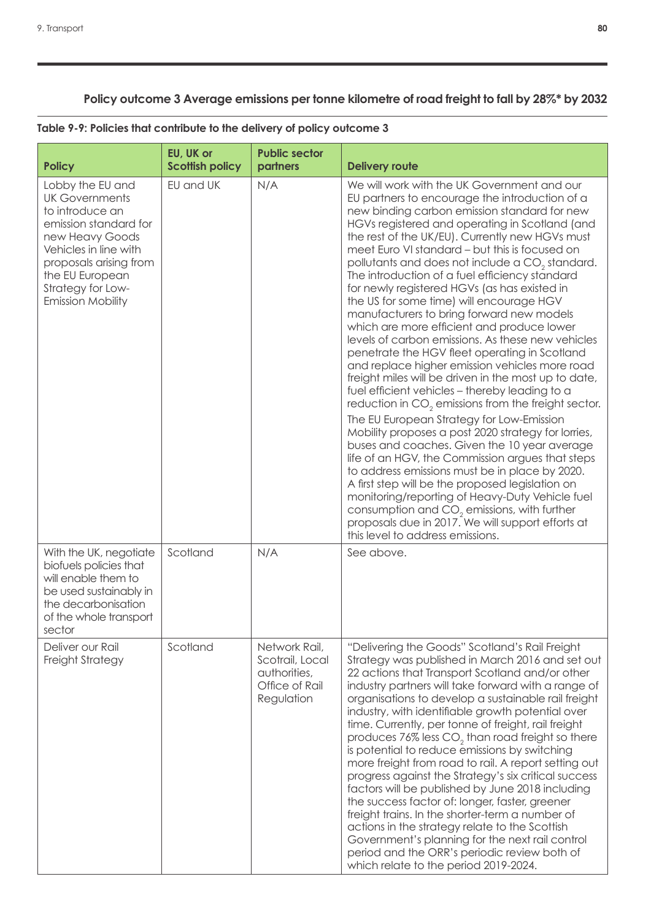## **Policy outcome 3 Average emissions per tonne kilometre of road freight to fall by 28%\* by 2032**

| <b>Policy</b>                                                                                                                                                                                                                   | EU, UK or<br><b>Scottish policy</b> | <b>Public sector</b><br>partners                                                 | <b>Delivery route</b>                                                                                                                                                                                                                                                                                                                                                                                                                                                                                                                                                                                                                                                                                                                                                                                                                                                                                                                                                                                                                                                                                                                                                                                                                                                                                                                                                                                                                                        |
|---------------------------------------------------------------------------------------------------------------------------------------------------------------------------------------------------------------------------------|-------------------------------------|----------------------------------------------------------------------------------|--------------------------------------------------------------------------------------------------------------------------------------------------------------------------------------------------------------------------------------------------------------------------------------------------------------------------------------------------------------------------------------------------------------------------------------------------------------------------------------------------------------------------------------------------------------------------------------------------------------------------------------------------------------------------------------------------------------------------------------------------------------------------------------------------------------------------------------------------------------------------------------------------------------------------------------------------------------------------------------------------------------------------------------------------------------------------------------------------------------------------------------------------------------------------------------------------------------------------------------------------------------------------------------------------------------------------------------------------------------------------------------------------------------------------------------------------------------|
| Lobby the EU and<br><b>UK Governments</b><br>to introduce an<br>emission standard for<br>new Heavy Goods<br>Vehicles in line with<br>proposals arising from<br>the EU European<br>Strategy for Low-<br><b>Emission Mobility</b> | EU and UK                           | N/A                                                                              | We will work with the UK Government and our<br>EU partners to encourage the introduction of a<br>new binding carbon emission standard for new<br>HGVs registered and operating in Scotland (and<br>the rest of the UK/EU). Currently new HGVs must<br>meet Euro VI standard - but this is focused on<br>pollutants and does not include a CO <sub>2</sub> standard.<br>The introduction of a fuel efficiency standard<br>for newly registered HGVs (as has existed in<br>the US for some time) will encourage HGV<br>manufacturers to bring forward new models<br>which are more efficient and produce lower<br>levels of carbon emissions. As these new vehicles<br>penetrate the HGV fleet operating in Scotland<br>and replace higher emission vehicles more road<br>freight miles will be driven in the most up to date,<br>fuel efficient vehicles - thereby leading to a<br>reduction in CO <sub>2</sub> emissions from the freight sector.<br>The EU European Strategy for Low-Emission<br>Mobility proposes a post 2020 strategy for lorries,<br>buses and coaches. Given the 10 year average<br>life of an HGV, the Commission argues that steps<br>to address emissions must be in place by 2020.<br>A first step will be the proposed legislation on<br>monitoring/reporting of Heavy-Duty Vehicle fuel<br>consumption and $CO2$ emissions, with further<br>proposals due in 2017. We will support efforts at<br>this level to address emissions. |
| With the UK, negotiate<br>biofuels policies that<br>will enable them to<br>be used sustainably in<br>the decarbonisation<br>of the whole transport<br>sector                                                                    | Scotland                            | N/A                                                                              | See above.                                                                                                                                                                                                                                                                                                                                                                                                                                                                                                                                                                                                                                                                                                                                                                                                                                                                                                                                                                                                                                                                                                                                                                                                                                                                                                                                                                                                                                                   |
| Deliver our Rail<br>Freight Strategy                                                                                                                                                                                            | Scotland                            | Network Rail,<br>Scotrail, Local<br>authorities,<br>Office of Rail<br>Regulation | "Delivering the Goods" Scotland's Rail Freight<br>Strategy was published in March 2016 and set out<br>22 actions that Transport Scotland and/or other<br>industry partners will take forward with a range of<br>organisations to develop a sustainable rail freight<br>industry, with identifiable growth potential over<br>time. Currently, per tonne of freight, rail freight<br>produces $76\%$ less $CO2$ than road freight so there<br>is potential to reduce emissions by switching<br>more freight from road to rail. A report setting out<br>progress against the Strategy's six critical success<br>factors will be published by June 2018 including<br>the success factor of: longer, faster, greener<br>freight trains. In the shorter-term a number of<br>actions in the strategy relate to the Scottish<br>Government's planning for the next rail control<br>period and the ORR's periodic review both of<br>which relate to the period 2019-2024.                                                                                                                                                                                                                                                                                                                                                                                                                                                                                             |

## **Table 9-9: Policies that contribute to the delivery of policy outcome 3**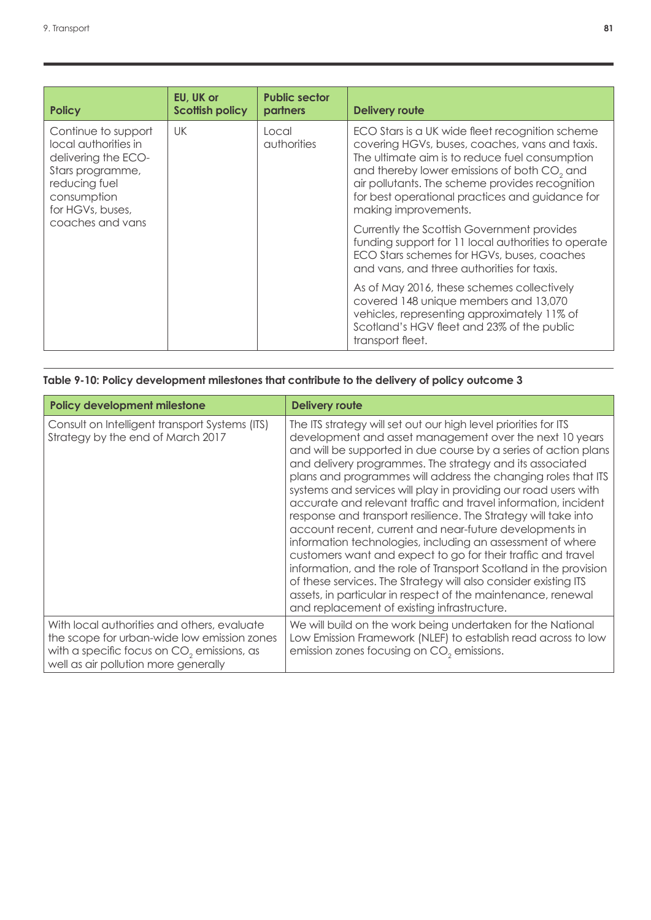| <b>Policy</b>                                                                                                                                                  | EU, UK or<br><b>Scottish policy</b>                                                                                                                                                           | <b>Public sector</b><br>partners | <b>Delivery route</b>                                                                                                                                                                                                                                                                                                                        |
|----------------------------------------------------------------------------------------------------------------------------------------------------------------|-----------------------------------------------------------------------------------------------------------------------------------------------------------------------------------------------|----------------------------------|----------------------------------------------------------------------------------------------------------------------------------------------------------------------------------------------------------------------------------------------------------------------------------------------------------------------------------------------|
| Continue to support<br>local authorities in<br>delivering the ECO-<br>Stars programme,<br>reducing fuel<br>consumption<br>for HGVs, buses,<br>coaches and vans | UK                                                                                                                                                                                            | Local<br>authorities             | ECO Stars is a UK wide fleet recognition scheme<br>covering HGVs, buses, coaches, vans and taxis.<br>The ultimate aim is to reduce fuel consumption<br>and thereby lower emissions of both CO <sub>2</sub> and<br>air pollutants. The scheme provides recognition<br>for best operational practices and guidance for<br>making improvements. |
|                                                                                                                                                                | Currently the Scottish Government provides<br>funding support for 11 local authorities to operate<br>ECO Stars schemes for HGVs, buses, coaches<br>and vans, and three authorities for taxis. |                                  |                                                                                                                                                                                                                                                                                                                                              |
|                                                                                                                                                                |                                                                                                                                                                                               |                                  | As of May 2016, these schemes collectively<br>covered 148 unique members and 13,070<br>vehicles, representing approximately 11% of<br>Scotland's HGV fleet and 23% of the public<br>transport fleet.                                                                                                                                         |

|  |  |  |  | Table 9-10: Policy development milestones that contribute to the delivery of policy outcome 3 |  |  |  |  |  |  |  |  |
|--|--|--|--|-----------------------------------------------------------------------------------------------|--|--|--|--|--|--|--|--|
|--|--|--|--|-----------------------------------------------------------------------------------------------|--|--|--|--|--|--|--|--|

| <b>Policy development milestone</b>                                                                                                                                                          | <b>Delivery route</b>                                                                                                                                                                                                                                                                                                                                                                                                                                                                                                                                                                                                                                                                                                                                                                                                                                                                                                                                                            |
|----------------------------------------------------------------------------------------------------------------------------------------------------------------------------------------------|----------------------------------------------------------------------------------------------------------------------------------------------------------------------------------------------------------------------------------------------------------------------------------------------------------------------------------------------------------------------------------------------------------------------------------------------------------------------------------------------------------------------------------------------------------------------------------------------------------------------------------------------------------------------------------------------------------------------------------------------------------------------------------------------------------------------------------------------------------------------------------------------------------------------------------------------------------------------------------|
| Consult on Intelligent transport Systems (ITS)<br>Strategy by the end of March 2017                                                                                                          | The ITS strategy will set out our high level priorities for ITS<br>development and asset management over the next 10 years<br>and will be supported in due course by a series of action plans<br>and delivery programmes. The strategy and its associated<br>plans and programmes will address the changing roles that ITS<br>systems and services will play in providing our road users with<br>accurate and relevant traffic and travel information, incident<br>response and transport resilience. The Strategy will take into<br>account recent, current and near-future developments in<br>information technologies, including an assessment of where<br>customers want and expect to go for their traffic and travel<br>information, and the role of Transport Scotland in the provision<br>of these services. The Strategy will also consider existing ITS<br>assets, in particular in respect of the maintenance, renewal<br>and replacement of existing infrastructure. |
| With local authorities and others, evaluate<br>the scope for urban-wide low emission zones<br>with a specific focus on CO <sub>2</sub> emissions, as<br>well as air pollution more generally | We will build on the work being undertaken for the National<br>Low Emission Framework (NLEF) to establish read across to low<br>emission zones focusing on CO <sub>2</sub> emissions.                                                                                                                                                                                                                                                                                                                                                                                                                                                                                                                                                                                                                                                                                                                                                                                            |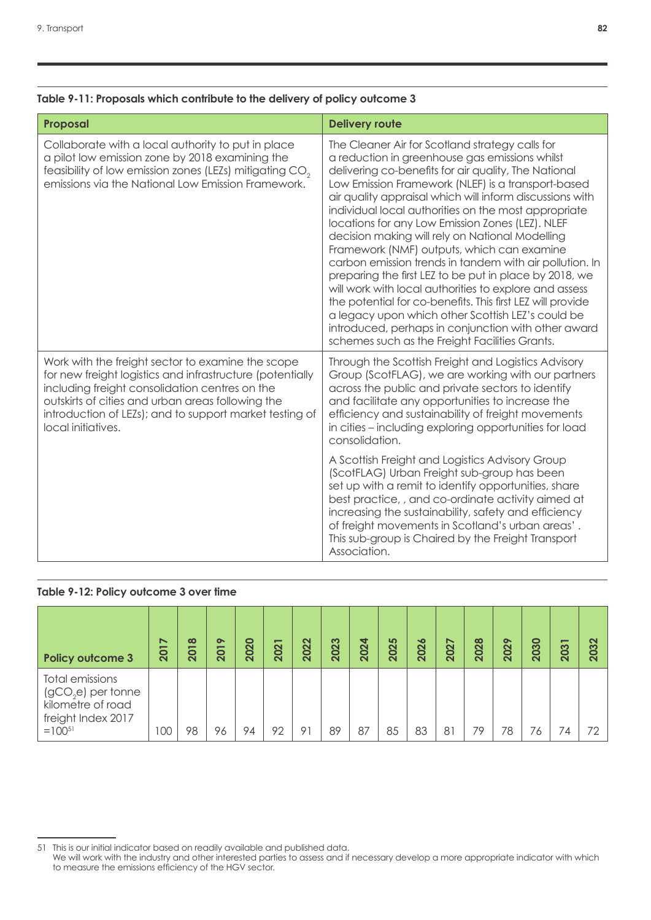#### **Table 9-11: Proposals which contribute to the delivery of policy outcome 3**

| Proposal                                                                                                                                                                                                                                                                                               | <b>Delivery route</b>                                                                                                                                                                                                                                                                                                                                                                                                                                                                                                                                                                                                                                                                                                                                                                                                                                                                               |
|--------------------------------------------------------------------------------------------------------------------------------------------------------------------------------------------------------------------------------------------------------------------------------------------------------|-----------------------------------------------------------------------------------------------------------------------------------------------------------------------------------------------------------------------------------------------------------------------------------------------------------------------------------------------------------------------------------------------------------------------------------------------------------------------------------------------------------------------------------------------------------------------------------------------------------------------------------------------------------------------------------------------------------------------------------------------------------------------------------------------------------------------------------------------------------------------------------------------------|
| Collaborate with a local authority to put in place<br>a pilot low emission zone by 2018 examining the<br>feasibility of low emission zones (LEZs) mitigating CO <sub>2</sub><br>emissions via the National Low Emission Framework.                                                                     | The Cleaner Air for Scotland strategy calls for<br>a reduction in greenhouse gas emissions whilst<br>delivering co-benefits for air quality, The National<br>Low Emission Framework (NLEF) is a transport-based<br>air quality appraisal which will inform discussions with<br>individual local authorities on the most appropriate<br>locations for any Low Emission Zones (LEZ). NLEF<br>decision making will rely on National Modelling<br>Framework (NMF) outputs, which can examine<br>carbon emission trends in tandem with air pollution. In<br>preparing the first LEZ to be put in place by 2018, we<br>will work with local authorities to explore and assess<br>the potential for co-benefits. This first LEZ will provide<br>a legacy upon which other Scottish LEZ's could be<br>introduced, perhaps in conjunction with other award<br>schemes such as the Freight Facilities Grants. |
| Work with the freight sector to examine the scope<br>for new freight logistics and infrastructure (potentially<br>including freight consolidation centres on the<br>outskirts of cities and urban areas following the<br>introduction of LEZs); and to support market testing of<br>local initiatives. | Through the Scottish Freight and Logistics Advisory<br>Group (ScotFLAG), we are working with our partners<br>across the public and private sectors to identify<br>and facilitate any opportunities to increase the<br>efficiency and sustainability of freight movements<br>in cities - including exploring opportunities for load<br>consolidation.<br>A Scottish Freight and Logistics Advisory Group<br>(ScotFLAG) Urban Freight sub-group has been<br>set up with a remit to identify opportunities, share<br>best practice, , and co-ordinate activity aimed at<br>increasing the sustainability, safety and efficiency<br>of freight movements in Scotland's urban areas'.<br>This sub-group is Chaired by the Freight Transport<br>Association.                                                                                                                                              |

#### Table 9-12: Policy outcome 3 over time

| <b>Policy outcome 3</b>                                                                          | ↖<br>201 | $\infty$<br>201 | $\sim$<br>-<br>$\overline{20}$ | 2020 | 202 | 2022 | 2023 | 2024 | 2025 | 2026 | 2027 | 2028 | 2029 | 2030 | -<br>က<br>$\overline{20}$ | 2032 |
|--------------------------------------------------------------------------------------------------|----------|-----------------|--------------------------------|------|-----|------|------|------|------|------|------|------|------|------|---------------------------|------|
| Total emissions<br>$(gCO2e)$ per tonne<br>kilometre of road<br>freight Index 2017<br>$=100^{51}$ | 100      | 98              | 96                             | 94   | 92  | 91   | 89   | 87   | 85   | 83   | 81   | 79   | 78   | 76   | $\overline{4}$            | 72   |

51 This is our initial indicator based on readily available and published data. We will work with the industry and other interested parties to assess and if necessary develop a more appropriate indicator with which to measure the emissions efficiency of the HGV sector.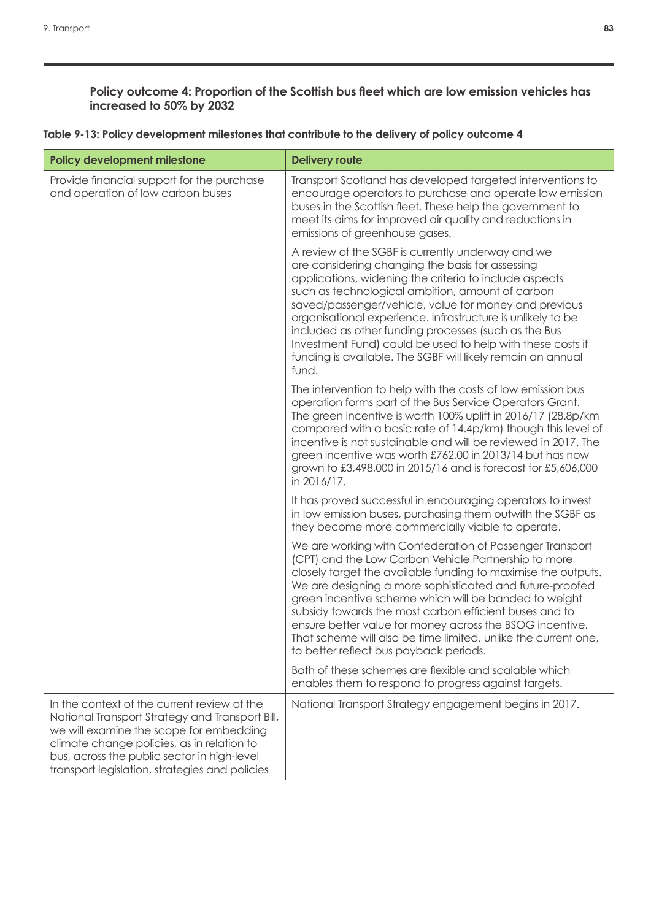#### **Policy outcome 4: Proportion of the Scottish bus fleet which are low emission vehicles has increased to 50% by 2032**

| <b>Policy development milestone</b>                                                                                                                                                                                                                                                      | <b>Delivery route</b>                                                                                                                                                                                                                                                                                                                                                                                                                                                                                                                     |
|------------------------------------------------------------------------------------------------------------------------------------------------------------------------------------------------------------------------------------------------------------------------------------------|-------------------------------------------------------------------------------------------------------------------------------------------------------------------------------------------------------------------------------------------------------------------------------------------------------------------------------------------------------------------------------------------------------------------------------------------------------------------------------------------------------------------------------------------|
| Provide financial support for the purchase<br>and operation of low carbon buses                                                                                                                                                                                                          | Transport Scotland has developed targeted interventions to<br>encourage operators to purchase and operate low emission<br>buses in the Scottish fleet. These help the government to<br>meet its aims for improved air quality and reductions in<br>emissions of greenhouse gases.                                                                                                                                                                                                                                                         |
|                                                                                                                                                                                                                                                                                          | A review of the SGBF is currently underway and we<br>are considering changing the basis for assessing<br>applications, widening the criteria to include aspects<br>such as technological ambition, amount of carbon<br>saved/passenger/vehicle, value for money and previous<br>organisational experience. Infrastructure is unlikely to be<br>included as other funding processes (such as the Bus<br>Investment Fund) could be used to help with these costs if<br>funding is available. The SGBF will likely remain an annual<br>fund. |
|                                                                                                                                                                                                                                                                                          | The intervention to help with the costs of low emission bus<br>operation forms part of the Bus Service Operators Grant.<br>The green incentive is worth 100% uplift in 2016/17 (28.8p/km)<br>compared with a basic rate of 14.4p/km) though this level of<br>incentive is not sustainable and will be reviewed in 2017. The<br>green incentive was worth £762,00 in 2013/14 but has now<br>grown to £3,498,000 in 2015/16 and is forecast for £5,606,000<br>in 2016/17.                                                                   |
|                                                                                                                                                                                                                                                                                          | It has proved successful in encouraging operators to invest<br>in low emission buses, purchasing them outwith the SGBF as<br>they become more commercially viable to operate.                                                                                                                                                                                                                                                                                                                                                             |
|                                                                                                                                                                                                                                                                                          | We are working with Confederation of Passenger Transport<br>(CPT) and the Low Carbon Vehicle Partnership to more<br>closely target the available funding to maximise the outputs.<br>We are designing a more sophisticated and future-proofed<br>green incentive scheme which will be banded to weight<br>subsidy towards the most carbon efficient buses and to<br>ensure better value for money across the BSOG incentive.<br>That scheme will also be time limited, unlike the current one<br>to better reflect bus payback periods.   |
|                                                                                                                                                                                                                                                                                          | Both of these schemes are flexible and scalable which<br>enables them to respond to progress against targets.                                                                                                                                                                                                                                                                                                                                                                                                                             |
| In the context of the current review of the<br>National Transport Strategy and Transport Bill,<br>we will examine the scope for embedding<br>climate change policies, as in relation to<br>bus, across the public sector in high-level<br>transport legislation, strategies and policies | National Transport Strategy engagement begins in 2017.                                                                                                                                                                                                                                                                                                                                                                                                                                                                                    |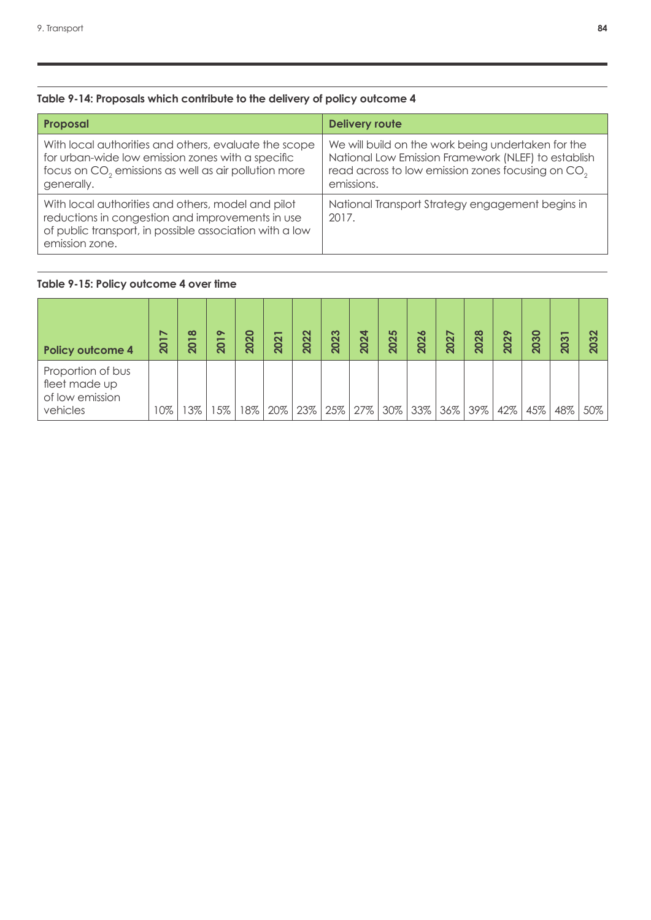## **Table 9-14: Proposals which contribute to the delivery of policy outcome 4**

| Proposal                                                                                                                                                                                     | <b>Delivery route</b>                                                                                                                                                                    |
|----------------------------------------------------------------------------------------------------------------------------------------------------------------------------------------------|------------------------------------------------------------------------------------------------------------------------------------------------------------------------------------------|
| With local authorities and others, evaluate the scope<br>for urban-wide low emission zones with a specific<br>focus on CO <sub>2</sub> emissions as well as air pollution more<br>generally. | We will build on the work being undertaken for the<br>National Low Emission Framework (NLEF) to establish<br>read across to low emission zones focusing on CO <sub>2</sub><br>emissions. |
| With local authorities and others, model and pilot<br>reductions in congestion and improvements in use<br>of public transport, in possible association with a low<br>emission zone.          | National Transport Strategy engagement begins in<br>2017.                                                                                                                                |

#### **Table 9-15: Policy outcome 4 over time**

| <b>Policy outcome 4</b>                                           | ↖<br>$\overline{\phantom{0}}$<br>$\overline{20}$ | $\infty$<br>201 | $\bullet$<br>-<br>$\overline{\mathbf{S}}$ | 2020 | 202 | 2022 | က<br>202 | 4<br>202 | 5<br>202 | 2026 | 2027 | 2028 | $\sim$<br>202 | 2030 | –<br>က<br>$\overline{\mathbf{S}}$ | ಌ<br>8 |
|-------------------------------------------------------------------|--------------------------------------------------|-----------------|-------------------------------------------|------|-----|------|----------|----------|----------|------|------|------|---------------|------|-----------------------------------|--------|
| Proportion of bus<br>fleet made up<br>of low emission<br>vehicles | 10%                                              | 3%              | 5%                                        | 8%   | 20% | 23%  | 25%      | 27%      | 30%      | 33%  | 36%  | 39%  | 42%           | 45%  | 48%                               | 50%    |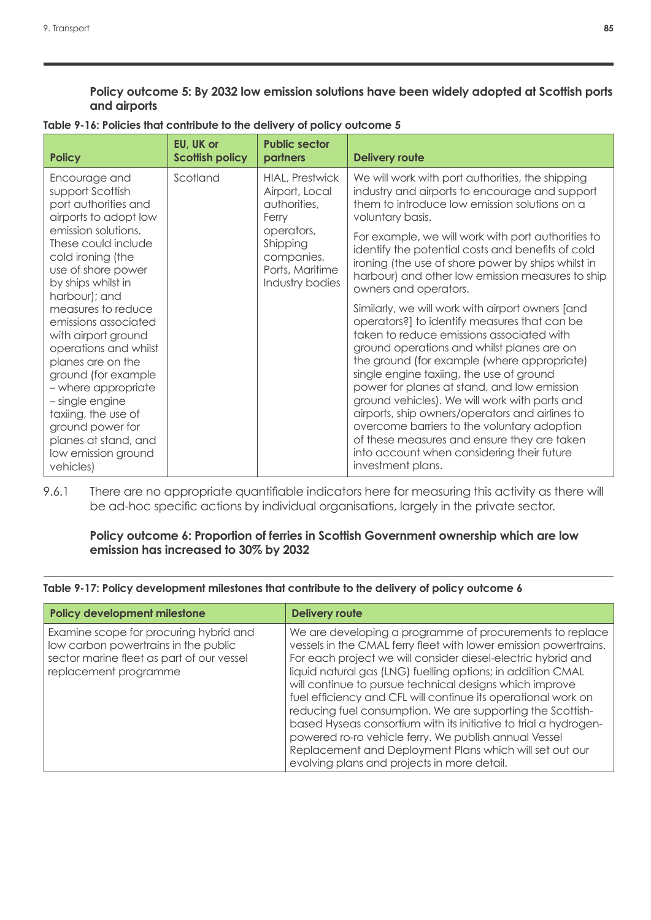**Policy outcome 5: By 2032 low emission solutions have been widely adopted at Scottish ports and airports**

| Table 9-16: Policies that contribute to the delivery of policy outcome 5 |  |  |  |
|--------------------------------------------------------------------------|--|--|--|
|--------------------------------------------------------------------------|--|--|--|

| Scotland<br><b>HIAL, Prestwick</b><br>We will work with port authorities, the shipping<br>Encourage and<br>industry and airports to encourage and support<br>support Scottish<br>Airport, Local<br>port authorities and<br>them to introduce low emission solutions on a<br>authorities,<br>airports to adopt low<br>voluntary basis.<br>Ferry<br>emission solutions.<br>operators,<br>These could include<br>Shipping<br>identify the potential costs and benefits of cold<br>cold ironing (the<br>companies,                                                                                                                                                                                                                                                                                                                                                                                                                                                                                                                    | <b>Policy</b> | EU, UK or<br><b>Scottish policy</b> | <b>Public sector</b><br>partners | <b>Delivery route</b>                                                                                                                                        |
|-----------------------------------------------------------------------------------------------------------------------------------------------------------------------------------------------------------------------------------------------------------------------------------------------------------------------------------------------------------------------------------------------------------------------------------------------------------------------------------------------------------------------------------------------------------------------------------------------------------------------------------------------------------------------------------------------------------------------------------------------------------------------------------------------------------------------------------------------------------------------------------------------------------------------------------------------------------------------------------------------------------------------------------|---------------|-------------------------------------|----------------------------------|--------------------------------------------------------------------------------------------------------------------------------------------------------------|
| use of shore power<br>Ports, Maritime<br>by ships whilst in<br>Industry bodies<br>owners and operators.<br>harbour); and<br>measures to reduce<br>Similarly, we will work with airport owners [and<br>operators?] to identify measures that can be<br>emissions associated<br>taken to reduce emissions associated with<br>with airport ground<br>ground operations and whilst planes are on<br>operations and whilst<br>the ground (for example (where appropriate)<br>planes are on the<br>single engine taxiing, the use of ground<br>ground (for example<br>power for planes at stand, and low emission<br>- where appropriate<br>ground vehicles). We will work with ports and<br>- single engine<br>airports, ship owners/operators and airlines to<br>taxiing, the use of<br>overcome barriers to the voluntary adoption<br>ground power for<br>of these measures and ensure they are taken<br>planes at stand, and<br>into account when considering their future<br>low emission ground<br>investment plans.<br>vehicles) |               |                                     |                                  | For example, we will work with port authorities to<br>ironing (the use of shore power by ships whilst in<br>harbour) and other low emission measures to ship |

9.6.1 There are no appropriate quantifiable indicators here for measuring this activity as there will be ad-hoc specific actions by individual organisations, largely in the private sector.

#### Policy outcome 6: Proportion of ferries in Scottish Government ownership which are low **emission has increased to 30% by 2032**

**Table 9-17: Policy development milestones that contribute to the delivery of policy outcome 6**

| Policy development milestone                                                                                                                         | <b>Delivery route</b>                                                                                                                                                                                                                                                                                                                                                                                                                                                                                                                                                                                                                                                                        |
|------------------------------------------------------------------------------------------------------------------------------------------------------|----------------------------------------------------------------------------------------------------------------------------------------------------------------------------------------------------------------------------------------------------------------------------------------------------------------------------------------------------------------------------------------------------------------------------------------------------------------------------------------------------------------------------------------------------------------------------------------------------------------------------------------------------------------------------------------------|
| Examine scope for procuring hybrid and<br>low carbon powertrains in the public<br>sector marine fleet as part of our vessel<br>replacement programme | We are developing a programme of procurements to replace<br>vessels in the CMAL ferry fleet with lower emission powertrains.<br>For each project we will consider diesel-electric hybrid and<br>liquid natural gas (LNG) fuelling options; in addition CMAL<br>will continue to pursue technical designs which improve<br>fuel efficiency and CFL will continue its operational work on<br>reducing fuel consumption. We are supporting the Scottish-<br>based Hyseas consortium with its initiative to trial a hydrogen-<br>powered ro-ro vehicle ferry. We publish annual Vessel<br>Replacement and Deployment Plans which will set out our<br>evolving plans and projects in more detail. |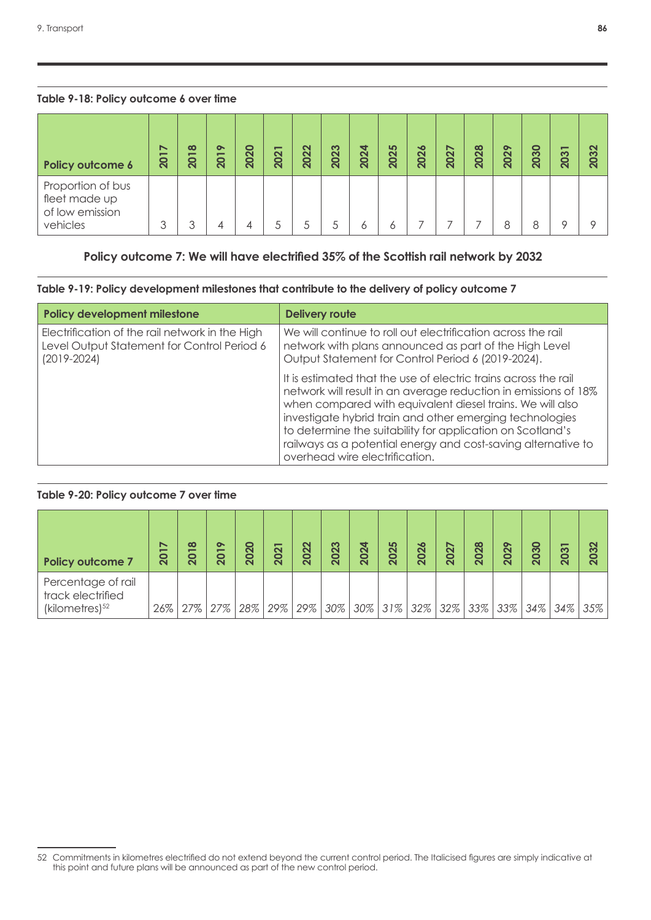#### **Table 9-18: Policy outcome 6 over time**

| Policy outcome 6                                                  | $\breve{ }$<br>201 | $\infty$<br><b>201</b> | $\bullet$<br>$\overline{\phantom{0}}$<br>$\overline{\mathbf{Q}}$ | 2020 | -<br>202 | 2022 | 2023 | 2024 | 2025 | 2026 | 2027 | 2028 | 2029 | ႙<br>$\mathbf{\widetilde{Q}}$ | -<br>203 | 2032 |
|-------------------------------------------------------------------|--------------------|------------------------|------------------------------------------------------------------|------|----------|------|------|------|------|------|------|------|------|-------------------------------|----------|------|
| Proportion of bus<br>fleet made up<br>of low emission<br>vehicles | 3                  | 3                      | 4                                                                |      |          |      |      | Ô    | 6    |      |      |      |      |                               |          | Ω    |

### **Policy outcome 7: We will have electrified 35% of the Scottish rail network by 2032**

#### **Table 9-19: Policy development milestones that contribute to the delivery of policy outcome 7**

| Policy development milestone                                                                                      | <b>Delivery route</b>                                                                                                                                                                                                                                                                                                                                                                                                        |
|-------------------------------------------------------------------------------------------------------------------|------------------------------------------------------------------------------------------------------------------------------------------------------------------------------------------------------------------------------------------------------------------------------------------------------------------------------------------------------------------------------------------------------------------------------|
| Electrification of the rail network in the High<br>Level Output Statement for Control Period 6<br>$(2019 - 2024)$ | We will continue to roll out electrification across the rail<br>network with plans announced as part of the High Level<br>Output Statement for Control Period 6 (2019-2024).                                                                                                                                                                                                                                                 |
|                                                                                                                   | It is estimated that the use of electric trains across the rail<br>network will result in an average reduction in emissions of 18%<br>when compared with equivalent diesel trains. We will also<br>investigate hybrid train and other emerging technologies<br>to determine the suitability for application on Scotland's<br>railways as a potential energy and cost-saving alternative to<br>overhead wire electrification. |

#### Table 9-20: Policy outcome 7 over time

| <b>Policy outcome 7</b>                                               | ↖<br>201 | $\infty$<br>201 | $\bullet$<br><b>201</b> | $\bullet$<br><b>202</b> | -<br>202 | $\mathbf{\Omega}$<br>202 | ო<br>202 | ₹<br>202 | 5<br>202   | 2026 | 2027 | 2028   | 2029 | $\bullet$<br>203 | –<br>203 | ຕ   |
|-----------------------------------------------------------------------|----------|-----------------|-------------------------|-------------------------|----------|--------------------------|----------|----------|------------|------|------|--------|------|------------------|----------|-----|
| Percentage of rail<br>track electrified<br>(kilometres) <sup>52</sup> | 26%      | 27%             | 27%                     | 28%                     | 29%      | 29%                      | 30%      |          | $30\%$ 31% | 32%  | 32%  | $33\%$ | 33%  | $34\%$           | $34\%$   | 35% |

<sup>52</sup> Commitments in kilometres electrified do not extend beyond the current control period. The Italicised figures are simply indicative at this point and future plans will be announced as part of the new control period.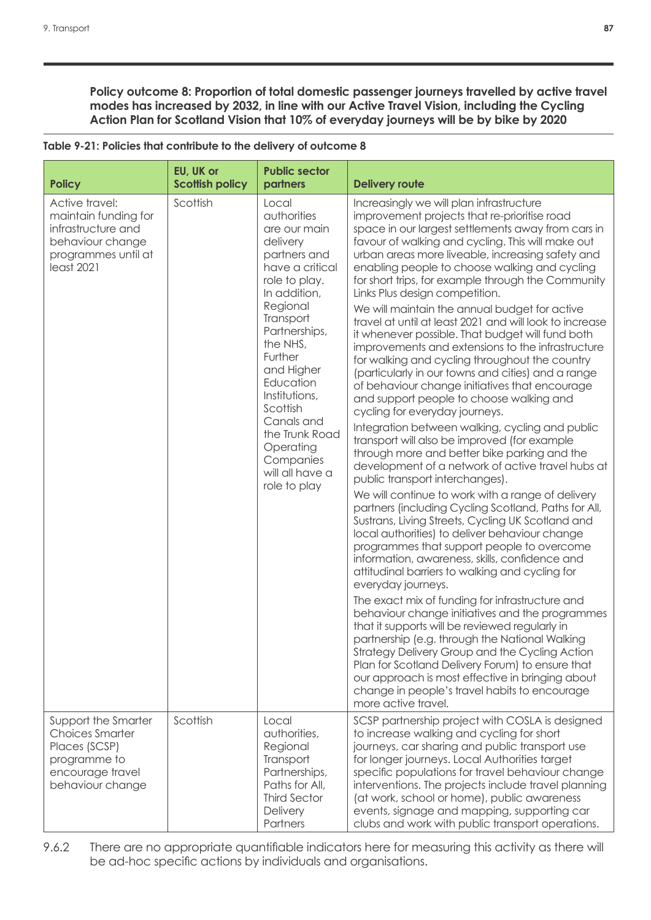**Policy outcome 8: Proportion of total domestic passenger journeys travelled by active travel modes has increased by 2032, in line with our Active Travel Vision, including the Cycling Action Plan for Scotland Vision that 10% of everyday journeys will be by bike by 2020**

| <b>Policy</b>                                                                                                          | EU, UK or<br><b>Scottish policy</b> | <b>Public sector</b><br>partners                                                                                                                                                                                                                                                                                                           | <b>Delivery route</b>                                                                                                                                                                                                                                                                                                                                                                                                                                                                                                                                                                                                                                                                                                                                                                                                                                                                                                                                                                                                                                                                                                                                                                                                                                                                                                                                                                                                                                                                                                                                                                                                                                                                                                                                                                                                                                                                                                                             |
|------------------------------------------------------------------------------------------------------------------------|-------------------------------------|--------------------------------------------------------------------------------------------------------------------------------------------------------------------------------------------------------------------------------------------------------------------------------------------------------------------------------------------|---------------------------------------------------------------------------------------------------------------------------------------------------------------------------------------------------------------------------------------------------------------------------------------------------------------------------------------------------------------------------------------------------------------------------------------------------------------------------------------------------------------------------------------------------------------------------------------------------------------------------------------------------------------------------------------------------------------------------------------------------------------------------------------------------------------------------------------------------------------------------------------------------------------------------------------------------------------------------------------------------------------------------------------------------------------------------------------------------------------------------------------------------------------------------------------------------------------------------------------------------------------------------------------------------------------------------------------------------------------------------------------------------------------------------------------------------------------------------------------------------------------------------------------------------------------------------------------------------------------------------------------------------------------------------------------------------------------------------------------------------------------------------------------------------------------------------------------------------------------------------------------------------------------------------------------------------|
| Active travel:<br>maintain funding for<br>infrastructure and<br>behaviour change<br>programmes until at<br>least 2021  | Scottish                            | Local<br>authorities<br>are our main<br>delivery<br>partners and<br>have a critical<br>role to play.<br>In addition,<br>Regional<br>Transport<br>Partnerships,<br>the NHS,<br>Further<br>and Higher<br>Education<br>Institutions,<br>Scottish<br>Canals and<br>the Trunk Road<br>Operating<br>Companies<br>will all have a<br>role to play | Increasingly we will plan infrastructure<br>improvement projects that re-prioritise road<br>space in our largest settlements away from cars in<br>favour of walking and cycling. This will make out<br>urban areas more liveable, increasing safety and<br>enabling people to choose walking and cycling<br>for short trips, for example through the Community<br>Links Plus design competition.<br>We will maintain the annual budget for active<br>travel at until at least 2021 and will look to increase<br>it whenever possible. That budget will fund both<br>improvements and extensions to the infrastructure<br>for walking and cycling throughout the country<br>(particularly in our towns and cities) and a range<br>of behaviour change initiatives that encourage<br>and support people to choose walking and<br>cycling for everyday journeys.<br>Integration between walking, cycling and public<br>transport will also be improved (for example<br>through more and better bike parking and the<br>development of a network of active travel hubs at<br>public transport interchanges).<br>We will continue to work with a range of delivery<br>partners (including Cycling Scotland, Paths for All,<br>Sustrans, Living Streets, Cycling UK Scotland and<br>local authorities) to deliver behaviour change<br>programmes that support people to overcome<br>information, awareness, skills, confidence and<br>attitudinal barriers to walking and cycling for<br>everyday journeys.<br>The exact mix of funding for infrastructure and<br>behaviour change initiatives and the programmes<br>that it supports will be reviewed regularly in<br>partnership (e.g. through the National Walking<br>Strategy Delivery Group and the Cycling Action<br>Plan for Scotland Delivery Forum) to ensure that<br>our approach is most effective in bringing about<br>change in people's travel habits to encourage<br>more active travel. |
| Support the Smarter<br><b>Choices Smarter</b><br>Places (SCSP)<br>programme to<br>encourage travel<br>behaviour change | Scottish                            | Local<br>authorities,<br>Regional<br>Transport<br>Partnerships,<br>Paths for All,<br><b>Third Sector</b><br>Delivery<br>Partners                                                                                                                                                                                                           | SCSP partnership project with COSLA is designed<br>to increase walking and cycling for short<br>journeys, car sharing and public transport use<br>for longer journeys. Local Authorities target<br>specific populations for travel behaviour change<br>interventions. The projects include travel planning<br>(at work, school or home), public awareness<br>events, signage and mapping, supporting car<br>clubs and work with public transport operations.                                                                                                                                                                                                                                                                                                                                                                                                                                                                                                                                                                                                                                                                                                                                                                                                                                                                                                                                                                                                                                                                                                                                                                                                                                                                                                                                                                                                                                                                                      |

| Table 9-21: Policies that contribute to the delivery of outcome 8 |
|-------------------------------------------------------------------|
|                                                                   |

9.6.2 There are no appropriate quantifiable indicators here for measuring this activity as there will be ad-hoc specific actions by individuals and organisations.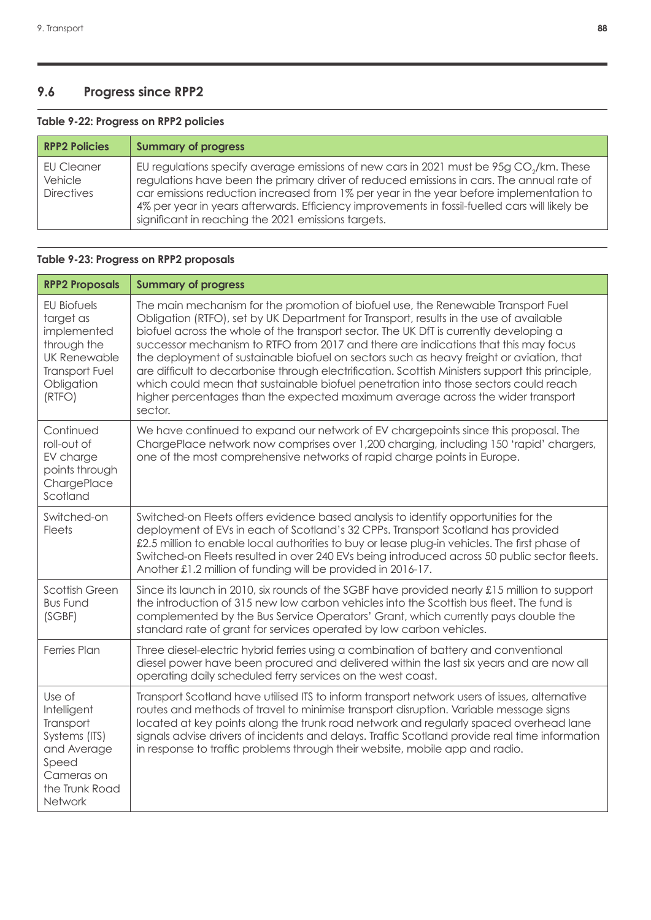# **9.6 Progress since RPP2**

### **Table 9-22: Progress on RPP2 policies**

| <b>RPP2 Policies</b>                       | <b>Summary of progress</b>                                                                                                                                                                                                                                                                                                                                                                                                                           |
|--------------------------------------------|------------------------------------------------------------------------------------------------------------------------------------------------------------------------------------------------------------------------------------------------------------------------------------------------------------------------------------------------------------------------------------------------------------------------------------------------------|
| EU Cleaner<br>Vehicle<br><b>Directives</b> | EU regulations specify average emissions of new cars in 2021 must be 95g CO <sub>2</sub> /km. These<br>regulations have been the primary driver of reduced emissions in cars. The annual rate of<br>car emissions reduction increased from 1% per year in the year before implementation to<br>4% per year in years afterwards. Efficiency improvements in fossil-fuelled cars will likely be<br>significant in reaching the 2021 emissions targets. |

### **Table 9-23: Progress on RPP2 proposals**

| <b>RPP2 Proposals</b>                                                                                                          | <b>Summary of progress</b>                                                                                                                                                                                                                                                                                                                                                                                                                                                                                                                                                                                                                                                                                                                         |
|--------------------------------------------------------------------------------------------------------------------------------|----------------------------------------------------------------------------------------------------------------------------------------------------------------------------------------------------------------------------------------------------------------------------------------------------------------------------------------------------------------------------------------------------------------------------------------------------------------------------------------------------------------------------------------------------------------------------------------------------------------------------------------------------------------------------------------------------------------------------------------------------|
| <b>EU Biofuels</b><br>target as<br>implemented<br>through the<br>UK Renewable<br><b>Transport Fuel</b><br>Obligation<br>(RTFO) | The main mechanism for the promotion of biofuel use, the Renewable Transport Fuel<br>Obligation (RTFO), set by UK Department for Transport, results in the use of available<br>biofuel across the whole of the transport sector. The UK DfT is currently developing a<br>successor mechanism to RTFO from 2017 and there are indications that this may focus<br>the deployment of sustainable biofuel on sectors such as heavy freight or aviation, that<br>are difficult to decarbonise through electrification. Scottish Ministers support this principle,<br>which could mean that sustainable biofuel penetration into those sectors could reach<br>higher percentages than the expected maximum average across the wider transport<br>sector. |
| Continued<br>roll-out of<br>EV charge<br>points through<br>ChargePlace<br>Scotland                                             | We have continued to expand our network of EV chargepoints since this proposal. The<br>ChargePlace network now comprises over 1,200 charging, including 150 'rapid' chargers,<br>one of the most comprehensive networks of rapid charge points in Europe.                                                                                                                                                                                                                                                                                                                                                                                                                                                                                          |
| Switched-on<br><b>Fleets</b>                                                                                                   | Switched-on Fleets offers evidence based analysis to identify opportunities for the<br>deployment of EVs in each of Scotland's 32 CPPs. Transport Scotland has provided<br>£2.5 million to enable local authorities to buy or lease plug-in vehicles. The first phase of<br>Switched-on Fleets resulted in over 240 EVs being introduced across 50 public sector fleets.<br>Another £1.2 million of funding will be provided in 2016-17.                                                                                                                                                                                                                                                                                                           |
| <b>Scottish Green</b><br><b>Bus Fund</b><br>(SGBF)                                                                             | Since its launch in 2010, six rounds of the SGBF have provided nearly £15 million to support<br>the introduction of 315 new low carbon vehicles into the Scottish bus fleet. The fund is<br>complemented by the Bus Service Operators' Grant, which currently pays double the<br>standard rate of grant for services operated by low carbon vehicles.                                                                                                                                                                                                                                                                                                                                                                                              |
| <b>Ferries Plan</b>                                                                                                            | Three diesel-electric hybrid ferries using a combination of battery and conventional<br>diesel power have been procured and delivered within the last six years and are now all<br>operating daily scheduled ferry services on the west coast.                                                                                                                                                                                                                                                                                                                                                                                                                                                                                                     |
| Use of<br>Intelligent<br>Transport<br>Systems (ITS)<br>and Average<br>Speed<br>Cameras on<br>the Trunk Road<br>Network         | Transport Scotland have utilised ITS to inform transport network users of issues, alternative<br>routes and methods of travel to minimise transport disruption. Variable message signs<br>located at key points along the trunk road network and regularly spaced overhead lane<br>signals advise drivers of incidents and delays. Traffic Scotland provide real time information<br>in response to traffic problems through their website, mobile app and radio.                                                                                                                                                                                                                                                                                  |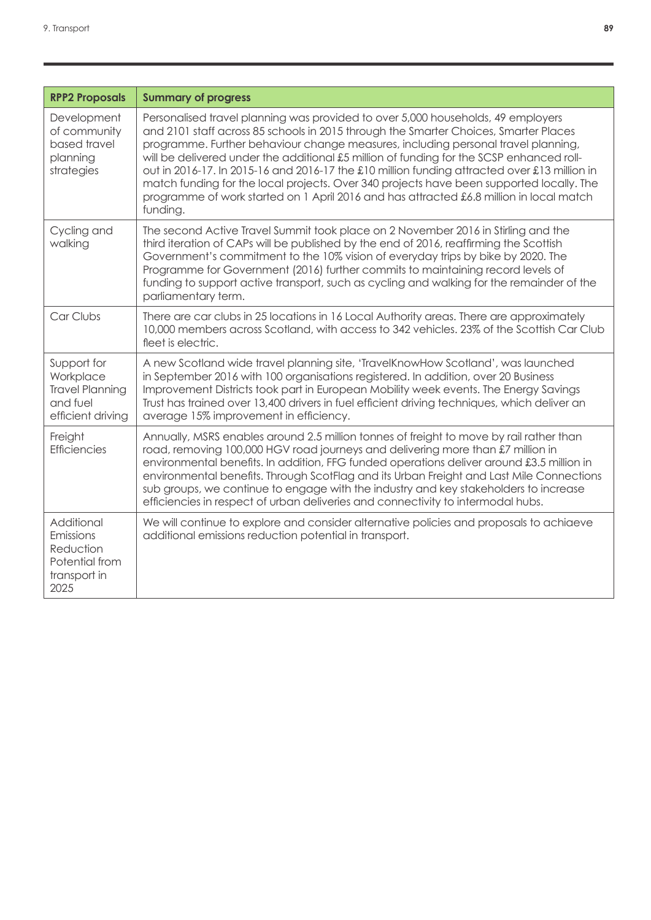| <b>RPP2 Proposals</b>                                                               | <b>Summary of progress</b>                                                                                                                                                                                                                                                                                                                                                                                                                                                                                                                                                                                                                                   |
|-------------------------------------------------------------------------------------|--------------------------------------------------------------------------------------------------------------------------------------------------------------------------------------------------------------------------------------------------------------------------------------------------------------------------------------------------------------------------------------------------------------------------------------------------------------------------------------------------------------------------------------------------------------------------------------------------------------------------------------------------------------|
| Development<br>of community<br>based travel<br>planning<br>strategies               | Personalised travel planning was provided to over 5,000 households, 49 employers<br>and 2101 staff across 85 schools in 2015 through the Smarter Choices, Smarter Places<br>programme. Further behaviour change measures, including personal travel planning,<br>will be delivered under the additional £5 million of funding for the SCSP enhanced roll-<br>out in 2016-17. In 2015-16 and 2016-17 the £10 million funding attracted over £13 million in<br>match funding for the local projects. Over 340 projects have been supported locally. The<br>programme of work started on 1 April 2016 and has attracted £6.8 million in local match<br>funding. |
| Cycling and<br>walking                                                              | The second Active Travel Summit took place on 2 November 2016 in Stirling and the<br>third iteration of CAPs will be published by the end of 2016, reaffirming the Scottish<br>Government's commitment to the 10% vision of everyday trips by bike by 2020. The<br>Programme for Government (2016) further commits to maintaining record levels of<br>funding to support active transport, such as cycling and walking for the remainder of the<br>parliamentary term.                                                                                                                                                                                       |
| Car Clubs                                                                           | There are car clubs in 25 locations in 16 Local Authority areas. There are approximately<br>10,000 members across Scotland, with access to 342 vehicles. 23% of the Scottish Car Club<br>fleet is electric.                                                                                                                                                                                                                                                                                                                                                                                                                                                  |
| Support for<br>Workplace<br><b>Travel Planning</b><br>and fuel<br>efficient driving | A new Scotland wide travel planning site, 'TravelKnowHow Scotland', was launched<br>in September 2016 with 100 organisations registered. In addition, over 20 Business<br>Improvement Districts took part in European Mobility week events. The Energy Savings<br>Trust has trained over 13,400 drivers in fuel efficient driving techniques, which deliver an<br>average 15% improvement in efficiency.                                                                                                                                                                                                                                                     |
| Freight<br><b>Efficiencies</b>                                                      | Annually, MSRS enables around 2.5 million tonnes of freight to move by rail rather than<br>road, removing 100,000 HGV road journeys and delivering more than £7 million in<br>environmental benefits. In addition, FFG funded operations deliver around £3.5 million in<br>environmental benefits. Through ScotFlag and its Urban Freight and Last Mile Connections<br>sub groups, we continue to engage with the industry and key stakeholders to increase<br>efficiencies in respect of urban deliveries and connectivity to intermodal hubs.                                                                                                              |
| Additional<br>Emissions<br>Reduction<br>Potential from<br>transport in<br>2025      | We will continue to explore and consider alternative policies and proposals to achiaeve<br>additional emissions reduction potential in transport.                                                                                                                                                                                                                                                                                                                                                                                                                                                                                                            |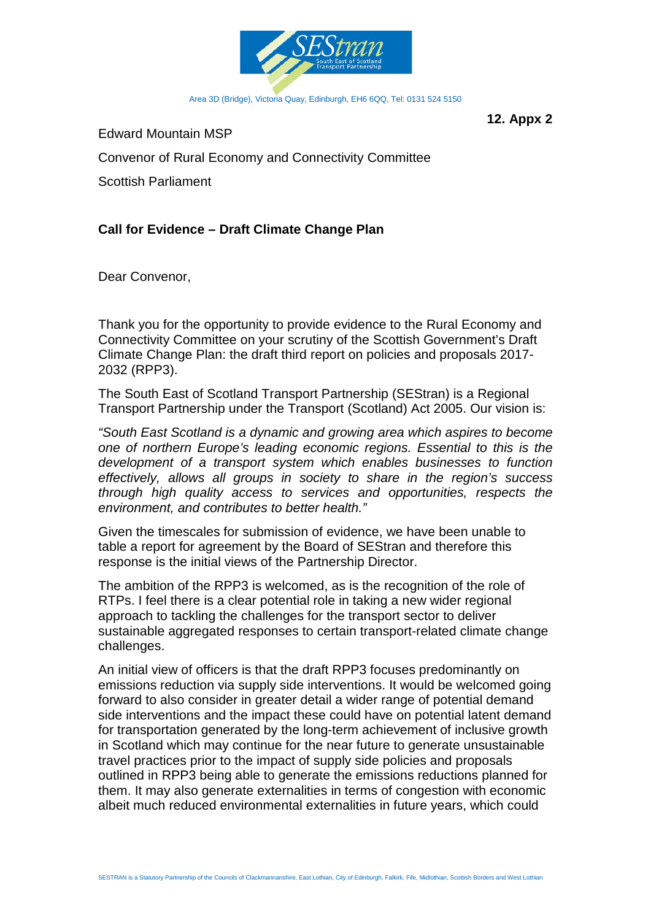

**12. Appx 2**

Edward Mountain MSP

Convenor of Rural Economy and Connectivity Committee

Scottish Parliament

## **Call for Evidence – Draft Climate Change Plan**

Dear Convenor,

Thank you for the opportunity to provide evidence to the Rural Economy and Connectivity Committee on your scrutiny of the Scottish Government's Draft Climate Change Plan: the draft third report on policies and proposals 2017- 2032 (RPP3).

The South East of Scotland Transport Partnership (SEStran) is a Regional Transport Partnership under the Transport (Scotland) Act 2005. Our vision is:

*"South East Scotland is a dynamic and growing area which aspires to become one of northern Europe's leading economic regions. Essential to this is the development of a transport system which enables businesses to function effectively, allows all groups in society to share in the region's success through high quality access to services and opportunities, respects the environment, and contributes to better health."*

Given the timescales for submission of evidence, we have been unable to table a report for agreement by the Board of SEStran and therefore this response is the initial views of the Partnership Director.

The ambition of the RPP3 is welcomed, as is the recognition of the role of RTPs. I feel there is a clear potential role in taking a new wider regional approach to tackling the challenges for the transport sector to deliver sustainable aggregated responses to certain transport-related climate change challenges.

An initial view of officers is that the draft RPP3 focuses predominantly on emissions reduction via supply side interventions. It would be welcomed going forward to also consider in greater detail a wider range of potential demand side interventions and the impact these could have on potential latent demand for transportation generated by the long-term achievement of inclusive growth in Scotland which may continue for the near future to generate unsustainable travel practices prior to the impact of supply side policies and proposals outlined in RPP3 being able to generate the emissions reductions planned for them. It may also generate externalities in terms of congestion with economic albeit much reduced environmental externalities in future years, which could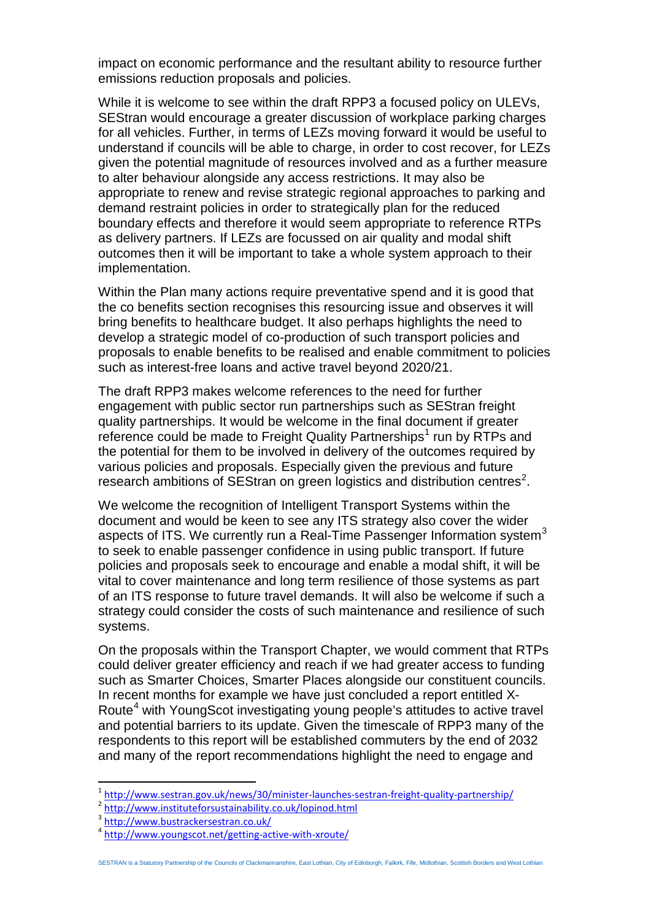impact on economic performance and the resultant ability to resource further emissions reduction proposals and policies.

While it is welcome to see within the draft RPP3 a focused policy on ULEVs, SEStran would encourage a greater discussion of workplace parking charges for all vehicles. Further, in terms of LEZs moving forward it would be useful to understand if councils will be able to charge, in order to cost recover, for LEZs given the potential magnitude of resources involved and as a further measure to alter behaviour alongside any access restrictions. It may also be appropriate to renew and revise strategic regional approaches to parking and demand restraint policies in order to strategically plan for the reduced boundary effects and therefore it would seem appropriate to reference RTPs as delivery partners. If LEZs are focussed on air quality and modal shift outcomes then it will be important to take a whole system approach to their implementation.

Within the Plan many actions require preventative spend and it is good that the co benefits section recognises this resourcing issue and observes it will bring benefits to healthcare budget. It also perhaps highlights the need to develop a strategic model of co-production of such transport policies and proposals to enable benefits to be realised and enable commitment to policies such as interest-free loans and active travel beyond 2020/21.

The draft RPP3 makes welcome references to the need for further engagement with public sector run partnerships such as SEStran freight quality partnerships. It would be welcome in the final document if greater reference could be made to Freight Quality Partnerships<sup>[1](#page-34-0)</sup> run by RTPs and the potential for them to be involved in delivery of the outcomes required by various policies and proposals. Especially given the previous and future research ambitions of SEStran on green logistics and distribution centres<sup>[2](#page-34-1)</sup>.

We welcome the recognition of Intelligent Transport Systems within the document and would be keen to see any ITS strategy also cover the wider aspects of ITS. We currently run a Real-Time Passenger Information system $3$ to seek to enable passenger confidence in using public transport. If future policies and proposals seek to encourage and enable a modal shift, it will be vital to cover maintenance and long term resilience of those systems as part of an ITS response to future travel demands. It will also be welcome if such a strategy could consider the costs of such maintenance and resilience of such systems.

On the proposals within the Transport Chapter, we would comment that RTPs could deliver greater efficiency and reach if we had greater access to funding such as Smarter Choices, Smarter Places alongside our constituent councils. In recent months for example we have just concluded a report entitled X-Route<sup>[4](#page-34-3)</sup> with YoungScot investigating young people's attitudes to active travel and potential barriers to its update. Given the timescale of RPP3 many of the respondents to this report will be established commuters by the end of 2032 and many of the report recommendations highlight the need to engage and

<span id="page-34-0"></span> $\frac{1}{2}$  <http://www.sestran.gov.uk/news/30/minister-launches-sestran-freight-quality-partnership/><br> $\frac{2}{\pi}$ <http://www.instituteforsustainability.co.uk/lopinod.html>

<span id="page-34-1"></span>

<span id="page-34-2"></span><sup>3</sup> <http://www.bustrackersestran.co.uk/>

<span id="page-34-3"></span><sup>4</sup> <http://www.youngscot.net/getting-active-with-xroute/>

SESTRAN is a Statutory Partnership of the Councils of Clackmannanshire, East Lothian, City of Edinburgh, Falkirk, Fife, Midlothian, Scottish Borders and West Lothian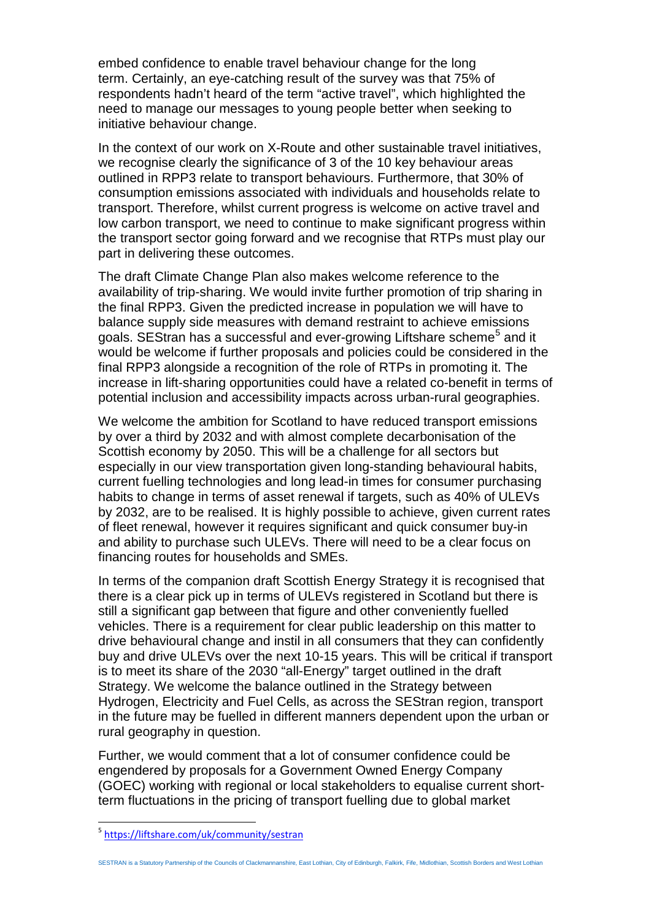embed confidence to enable travel behaviour change for the long term. Certainly, an eye-catching result of the survey was that 75% of respondents hadn't heard of the term "active travel", which highlighted the need to manage our messages to young people better when seeking to initiative behaviour change.

In the context of our work on X-Route and other sustainable travel initiatives, we recognise clearly the significance of 3 of the 10 key behaviour areas outlined in RPP3 relate to transport behaviours. Furthermore, that 30% of consumption emissions associated with individuals and households relate to transport. Therefore, whilst current progress is welcome on active travel and low carbon transport, we need to continue to make significant progress within the transport sector going forward and we recognise that RTPs must play our part in delivering these outcomes.

The draft Climate Change Plan also makes welcome reference to the availability of trip-sharing. We would invite further promotion of trip sharing in the final RPP3. Given the predicted increase in population we will have to balance supply side measures with demand restraint to achieve emissions goals. SEStran has a successful and ever-growing Liftshare scheme<sup>[5](#page-35-0)</sup> and it would be welcome if further proposals and policies could be considered in the final RPP3 alongside a recognition of the role of RTPs in promoting it. The increase in lift-sharing opportunities could have a related co-benefit in terms of potential inclusion and accessibility impacts across urban-rural geographies.

We welcome the ambition for Scotland to have reduced transport emissions by over a third by 2032 and with almost complete decarbonisation of the Scottish economy by 2050. This will be a challenge for all sectors but especially in our view transportation given long-standing behavioural habits, current fuelling technologies and long lead-in times for consumer purchasing habits to change in terms of asset renewal if targets, such as 40% of ULEVs by 2032, are to be realised. It is highly possible to achieve, given current rates of fleet renewal, however it requires significant and quick consumer buy-in and ability to purchase such ULEVs. There will need to be a clear focus on financing routes for households and SMEs.

In terms of the companion draft Scottish Energy Strategy it is recognised that there is a clear pick up in terms of ULEVs registered in Scotland but there is still a significant gap between that figure and other conveniently fuelled vehicles. There is a requirement for clear public leadership on this matter to drive behavioural change and instil in all consumers that they can confidently buy and drive ULEVs over the next 10-15 years. This will be critical if transport is to meet its share of the 2030 "all-Energy" target outlined in the draft Strategy. We welcome the balance outlined in the Strategy between Hydrogen, Electricity and Fuel Cells, as across the SEStran region, transport in the future may be fuelled in different manners dependent upon the urban or rural geography in question.

Further, we would comment that a lot of consumer confidence could be engendered by proposals for a Government Owned Energy Company (GOEC) working with regional or local stakeholders to equalise current shortterm fluctuations in the pricing of transport fuelling due to global market

SESTRAN is a Statutory Partnership of the Councils of Clackmannanshire, East Lothian, City of Edinburgh, Falkirk, Fife, Midlothian, Scottish Borders and West Lothian

<span id="page-35-0"></span><sup>5</sup> <https://liftshare.com/uk/community/sestran>